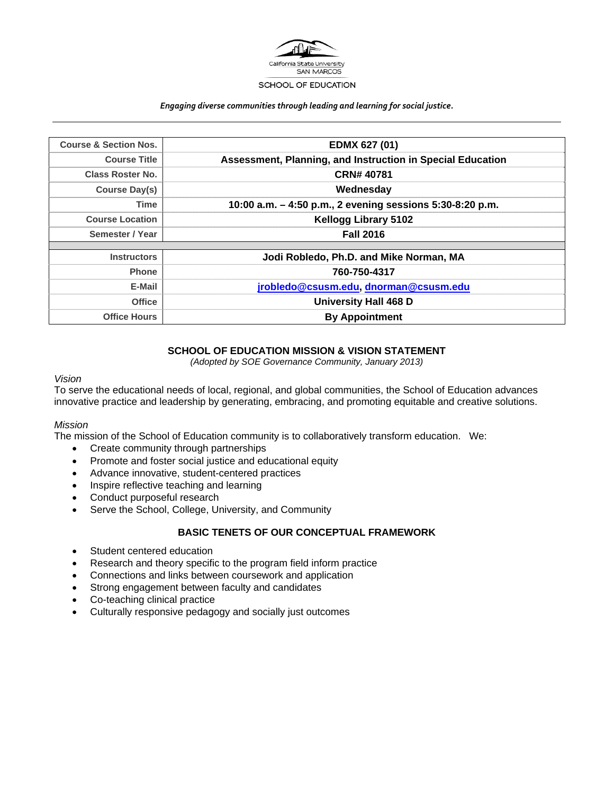

#### *Engaging diverse communities through leading and learning for social justice.*

| <b>Course &amp; Section Nos.</b> | <b>EDMX 627 (01)</b>                                       |
|----------------------------------|------------------------------------------------------------|
| <b>Course Title</b>              | Assessment, Planning, and Instruction in Special Education |
| <b>Class Roster No.</b>          | <b>CRN# 40781</b>                                          |
| <b>Course Day(s)</b>             | Wednesday                                                  |
| <b>Time</b>                      | 10:00 a.m. - 4:50 p.m., 2 evening sessions 5:30-8:20 p.m.  |
| <b>Course Location</b>           | <b>Kellogg Library 5102</b>                                |
| Semester / Year                  | <b>Fall 2016</b>                                           |
|                                  |                                                            |
| <b>Instructors</b>               | Jodi Robledo, Ph.D. and Mike Norman, MA                    |
| <b>Phone</b>                     | 760-750-4317                                               |
| E-Mail                           | jrobledo@csusm.edu, dnorman@csusm.edu                      |
| <b>Office</b>                    | <b>University Hall 468 D</b>                               |
| <b>Office Hours</b>              | <b>By Appointment</b>                                      |

## **SCHOOL OF EDUCATION MISSION & VISION STATEMENT**

*(Adopted by SOE Governance Community, January 2013)* 

#### *Vision*

To serve the educational needs of local, regional, and global communities, the School of Education advances innovative practice and leadership by generating, embracing, and promoting equitable and creative solutions.

#### *Mission*

The mission of the School of Education community is to collaboratively transform education. We:

- Create community through partnerships
- Promote and foster social justice and educational equity
- Advance innovative, student-centered practices
- Inspire reflective teaching and learning
- Conduct purposeful research
- Serve the School, College, University, and Community

#### **BASIC TENETS OF OUR CONCEPTUAL FRAMEWORK**

- Student centered education
- Research and theory specific to the program field inform practice
- Connections and links between coursework and application
- Strong engagement between faculty and candidates
- Co-teaching clinical practice
- Culturally responsive pedagogy and socially just outcomes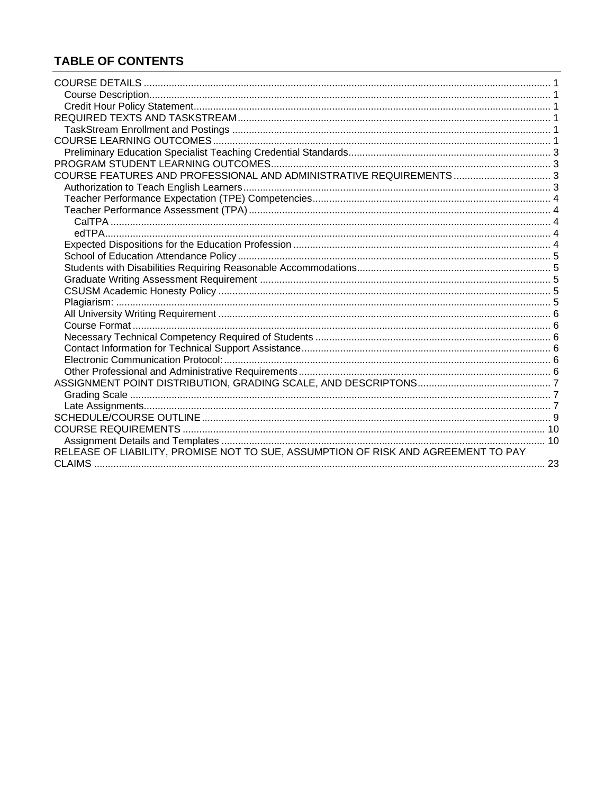## **TABLE OF CONTENTS**

| COURSE FEATURES AND PROFESSIONAL AND ADMINISTRATIVE REQUIREMENTS 3                |  |
|-----------------------------------------------------------------------------------|--|
|                                                                                   |  |
|                                                                                   |  |
|                                                                                   |  |
|                                                                                   |  |
|                                                                                   |  |
|                                                                                   |  |
|                                                                                   |  |
|                                                                                   |  |
|                                                                                   |  |
|                                                                                   |  |
|                                                                                   |  |
|                                                                                   |  |
|                                                                                   |  |
|                                                                                   |  |
|                                                                                   |  |
|                                                                                   |  |
|                                                                                   |  |
|                                                                                   |  |
|                                                                                   |  |
|                                                                                   |  |
|                                                                                   |  |
|                                                                                   |  |
|                                                                                   |  |
| RELEASE OF LIABILITY, PROMISE NOT TO SUE, ASSUMPTION OF RISK AND AGREEMENT TO PAY |  |
|                                                                                   |  |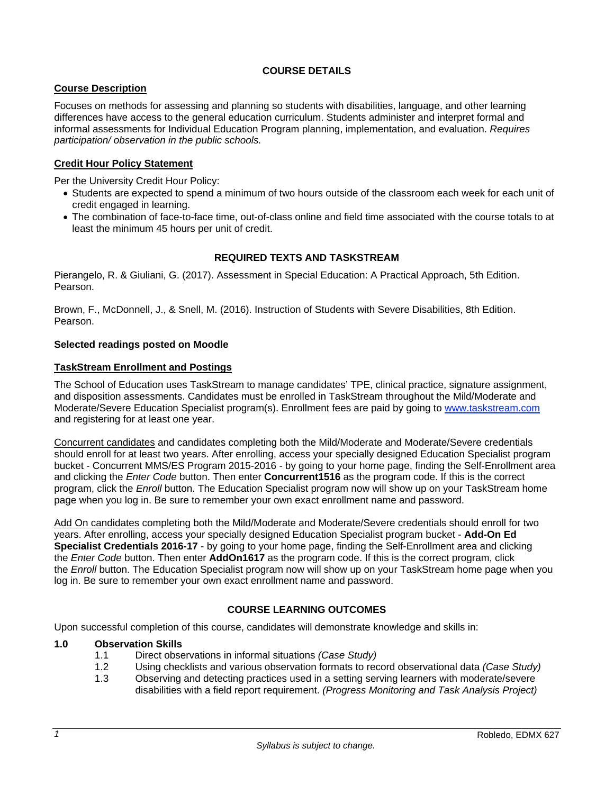## **COURSE DETAILS**

## **Course Description**

Focuses on methods for assessing and planning so students with disabilities, language, and other learning differences have access to the general education curriculum. Students administer and interpret formal and informal assessments for Individual Education Program planning, implementation, and evaluation. *Requires participation/ observation in the public schools.* 

## **Credit Hour Policy Statement**

Per the University Credit Hour Policy:

- Students are expected to spend a minimum of two hours outside of the classroom each week for each unit of credit engaged in learning.
- The combination of face-to-face time, out-of-class online and field time associated with the course totals to at least the minimum 45 hours per unit of credit.

## **REQUIRED TEXTS AND TASKSTREAM**

Pierangelo, R. & Giuliani, G. (2017). Assessment in Special Education: A Practical Approach, 5th Edition. Pearson.

Brown, F., McDonnell, J., & Snell, M. (2016). Instruction of Students with Severe Disabilities, 8th Edition. Pearson.

#### **Selected readings posted on Moodle**

#### **TaskStream Enrollment and Postings**

The School of Education uses TaskStream to manage candidates' TPE, clinical practice, signature assignment, and disposition assessments. Candidates must be enrolled in TaskStream throughout the Mild/Moderate and Moderate/Severe Education Specialist program(s). Enrollment fees are paid by going to www.taskstream.com and registering for at least one year.

Concurrent candidates and candidates completing both the Mild/Moderate and Moderate/Severe credentials should enroll for at least two years. After enrolling, access your specially designed Education Specialist program bucket - Concurrent MMS/ES Program 2015-2016 - by going to your home page, finding the Self-Enrollment area and clicking the *Enter Code* button. Then enter **Concurrent1516** as the program code. If this is the correct program, click the *Enroll* button. The Education Specialist program now will show up on your TaskStream home page when you log in. Be sure to remember your own exact enrollment name and password.

Add On candidates completing both the Mild/Moderate and Moderate/Severe credentials should enroll for two years. After enrolling, access your specially designed Education Specialist program bucket - **Add-On Ed Specialist Credentials 2016-17** - by going to your home page, finding the Self-Enrollment area and clicking the *Enter Code* button. Then enter **AddOn1617** as the program code. If this is the correct program, click the *Enroll* button. The Education Specialist program now will show up on your TaskStream home page when you log in. Be sure to remember your own exact enrollment name and password.

## **COURSE LEARNING OUTCOMES**

Upon successful completion of this course, candidates will demonstrate knowledge and skills in:

#### **1.0 Observation Skills**

- 1.1 Direct observations in informal situations *(Case Study)*
- 1.2 Using checklists and various observation formats to record observational data *(Case Study)*
- 1.3 Observing and detecting practices used in a setting serving learners with moderate/severe disabilities with a field report requirement. *(Progress Monitoring and Task Analysis Project)*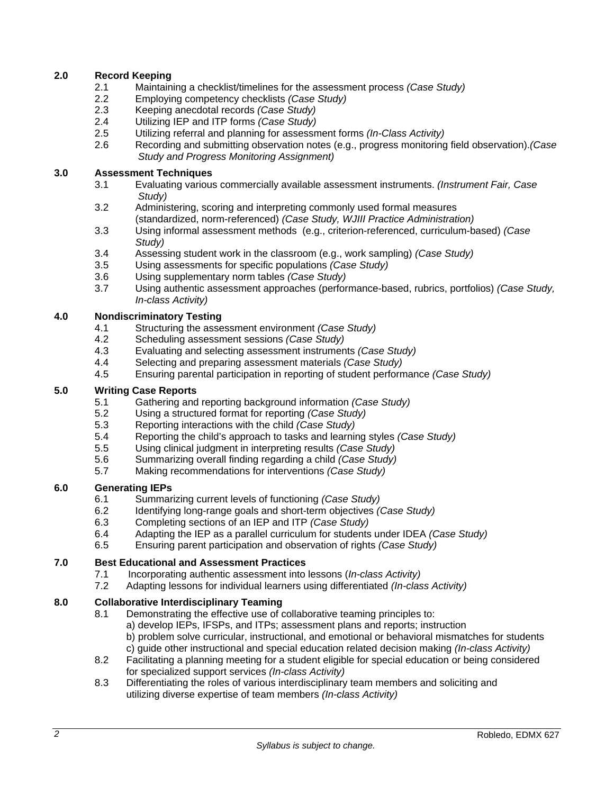## **2.0 Record Keeping**

- 2.1 Maintaining a checklist/timelines for the assessment process *(Case Study)*
- 2.2 Employing competency checklists *(Case Study)*
- 2.3 Keeping anecdotal records *(Case Study)*
- 2.4 Utilizing IEP and ITP forms *(Case Study)*
- 2.5 Utilizing referral and planning for assessment forms *(In-Class Activity)*
- 2.6 Recording and submitting observation notes (e.g., progress monitoring field observation).*(Case Study and Progress Monitoring Assignment)*

## **3.0 Assessment Techniques**

- 3.1 Evaluating various commercially available assessment instruments. *(Instrument Fair, Case Study)*
- 3.2 Administering, scoring and interpreting commonly used formal measures (standardized, norm-referenced) *(Case Study, WJIII Practice Administration)*
- 3.3 Using informal assessment methods (e.g., criterion-referenced, curriculum-based) *(Case Study)*
- 3.4 Assessing student work in the classroom (e.g., work sampling) *(Case Study)*
- 3.5 Using assessments for specific populations *(Case Study)*
- 3.6 Using supplementary norm tables *(Case Study)*
- 3.7 Using authentic assessment approaches (performance-based, rubrics, portfolios) *(Case Study, In-class Activity)*

#### **4.0 Nondiscriminatory Testing**

- 4.1 Structuring the assessment environment *(Case Study)*
- 4.2 Scheduling assessment sessions *(Case Study)*
- 4.3 Evaluating and selecting assessment instruments *(Case Study)*
- 4.4 Selecting and preparing assessment materials *(Case Study)*
- 4.5 Ensuring parental participation in reporting of student performance *(Case Study)*

#### **5.0 Writing Case Reports**

- 5.1 Gathering and reporting background information *(Case Study)*
- 5.2 Using a structured format for reporting *(Case Study)*
- 5.3 Reporting interactions with the child *(Case Study)*
- 5.4 Reporting the child's approach to tasks and learning styles *(Case Study)*
- 5.5 Using clinical judgment in interpreting results *(Case Study)*
- 5.6 Summarizing overall finding regarding a child *(Case Study)*
- 5.7 Making recommendations for interventions *(Case Study)*

## **6.0 Generating IEPs**

- 6.1 Summarizing current levels of functioning *(Case Study)*
- 6.2 Identifying long-range goals and short-term objectives *(Case Study)*
- 6.3 Completing sections of an IEP and ITP *(Case Study)*
- 6.4 Adapting the IEP as a parallel curriculum for students under IDEA *(Case Study)*
- 6.5 Ensuring parent participation and observation of rights *(Case Study)*

## **7.0 Best Educational and Assessment Practices**

- 7.1 Incorporating authentic assessment into lessons (*In-class Activity)*
- 7.2 Adapting lessons for individual learners using differentiated *(In-class Activity)*

## **8.0 Collaborative Interdisciplinary Teaming**

- 8.1 Demonstrating the effective use of collaborative teaming principles to: a) develop IEPs, IFSPs, and ITPs; assessment plans and reports; instruction b) problem solve curricular, instructional, and emotional or behavioral mismatches for students c) guide other instructional and special education related decision making *(In-class Activity)*
- 8.2 Facilitating a planning meeting for a student eligible for special education or being considered for specialized support services *(In-class Activity)*
- 8.3 Differentiating the roles of various interdisciplinary team members and soliciting and utilizing diverse expertise of team members *(In-class Activity)*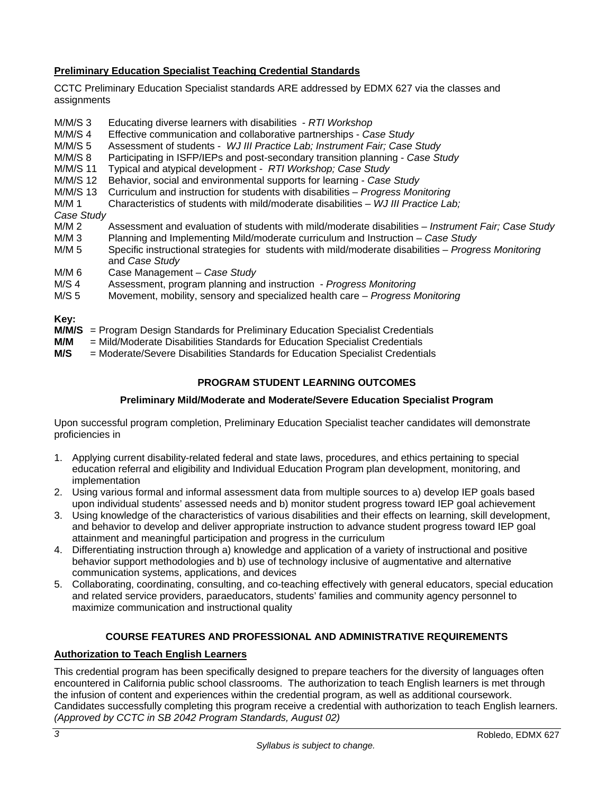## **Preliminary Education Specialist Teaching Credential Standards**

CCTC Preliminary Education Specialist standards ARE addressed by EDMX 627 via the classes and assignments

- M/M/S 3 Educating diverse learners with disabilities - *RTI Workshop*
- M/M/S 4 Effective communication and collaborative partnerships *Case Study*
- M/M/S 5 Assessment of students *WJ III Practice Lab; Instrument Fair; Case Study*
- M/M/S 8 Participating in ISFP/IEPs and post-secondary transition planning *Case Study*
- M/M/S 11 Typical and atypical development *RTI Workshop; Case Study*
- M/M/S 12 Behavior, social and environmental supports for learning *Case Study*
- M/M/S 13 Curriculum and instruction for students with disabilities *Progress Monitoring*
- M/M 1 Characteristics of students with mild/moderate disabilities *WJ III Practice Lab;*

# *Case Study*

- M/M 2 Assessment and evaluation of students with mild/moderate disabilities *Instrument Fair; Case Study* M/M 3 Planning and Implementing Mild/moderate curriculum and Instruction Case Study
- M/M 3 Planning and Implementing Mild/moderate curriculum and Instruction *Case Study*
- M/M 5 Specific instructional strategies for students with mild/moderate disabilities *Progress Monitoring* and *Case Study*
- M/M 6 Case Management *Case Study*
- M/S 4 Assessment, program planning and instruction *Progress Monitoring*
- M/S 5 Movement, mobility, sensory and specialized health care *Progress Monitoring*

#### **Key:**

- **M/M/S** = Program Design Standards for Preliminary Education Specialist Credentials
- **M/M** = Mild/Moderate Disabilities Standards for Education Specialist Credentials
- **M/S** = Moderate/Severe Disabilities Standards for Education Specialist Credentials

## **PROGRAM STUDENT LEARNING OUTCOMES**

## **Preliminary Mild/Moderate and Moderate/Severe Education Specialist Program**

Upon successful program completion, Preliminary Education Specialist teacher candidates will demonstrate proficiencies in

- 1. Applying current disability-related federal and state laws, procedures, and ethics pertaining to special education referral and eligibility and Individual Education Program plan development, monitoring, and implementation
- 2. Using various formal and informal assessment data from multiple sources to a) develop IEP goals based upon individual students' assessed needs and b) monitor student progress toward IEP goal achievement
- 3. Using knowledge of the characteristics of various disabilities and their effects on learning, skill development, and behavior to develop and deliver appropriate instruction to advance student progress toward IEP goal attainment and meaningful participation and progress in the curriculum
- 4. Differentiating instruction through a) knowledge and application of a variety of instructional and positive behavior support methodologies and b) use of technology inclusive of augmentative and alternative communication systems, applications, and devices
- 5. Collaborating, coordinating, consulting, and co-teaching effectively with general educators, special education and related service providers, paraeducators, students' families and community agency personnel to maximize communication and instructional quality

## **COURSE FEATURES AND PROFESSIONAL AND ADMINISTRATIVE REQUIREMENTS**

#### **Authorization to Teach English Learners**

This credential program has been specifically designed to prepare teachers for the diversity of languages often encountered in California public school classrooms. The authorization to teach English learners is met through the infusion of content and experiences within the credential program, as well as additional coursework. Candidates successfully completing this program receive a credential with authorization to teach English learners. *(Approved by CCTC in SB 2042 Program Standards, August 02)*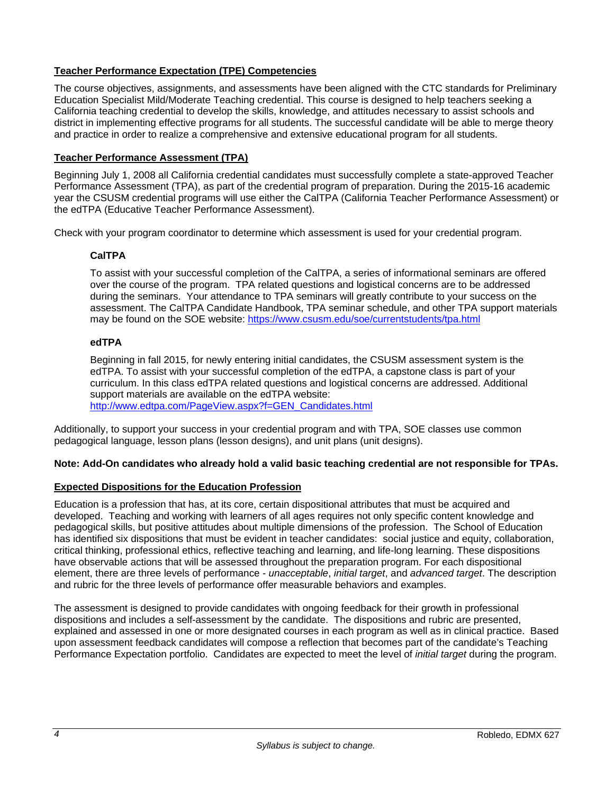## **Teacher Performance Expectation (TPE) Competencies**

The course objectives, assignments, and assessments have been aligned with the CTC standards for Preliminary Education Specialist Mild/Moderate Teaching credential. This course is designed to help teachers seeking a California teaching credential to develop the skills, knowledge, and attitudes necessary to assist schools and district in implementing effective programs for all students. The successful candidate will be able to merge theory and practice in order to realize a comprehensive and extensive educational program for all students.

## **Teacher Performance Assessment (TPA)**

Beginning July 1, 2008 all California credential candidates must successfully complete a state-approved Teacher Performance Assessment (TPA), as part of the credential program of preparation. During the 2015-16 academic year the CSUSM credential programs will use either the CalTPA (California Teacher Performance Assessment) or the edTPA (Educative Teacher Performance Assessment).

Check with your program coordinator to determine which assessment is used for your credential program.

## **CalTPA**

To assist with your successful completion of the CalTPA, a series of informational seminars are offered over the course of the program. TPA related questions and logistical concerns are to be addressed during the seminars. Your attendance to TPA seminars will greatly contribute to your success on the assessment. The CalTPA Candidate Handbook, TPA seminar schedule, and other TPA support materials may be found on the SOE website: https://www.csusm.edu/soe/currentstudents/tpa.html

## **edTPA**

Beginning in fall 2015, for newly entering initial candidates, the CSUSM assessment system is the edTPA. To assist with your successful completion of the edTPA, a capstone class is part of your curriculum. In this class edTPA related questions and logistical concerns are addressed. Additional support materials are available on the edTPA website: http://www.edtpa.com/PageView.aspx?f=GEN\_Candidates.html

Additionally, to support your success in your credential program and with TPA, SOE classes use common pedagogical language, lesson plans (lesson designs), and unit plans (unit designs).

## **Note: Add-On candidates who already hold a valid basic teaching credential are not responsible for TPAs.**

## **Expected Dispositions for the Education Profession**

Education is a profession that has, at its core, certain dispositional attributes that must be acquired and developed. Teaching and working with learners of all ages requires not only specific content knowledge and pedagogical skills, but positive attitudes about multiple dimensions of the profession. The School of Education has identified six dispositions that must be evident in teacher candidates: social justice and equity, collaboration, critical thinking, professional ethics, reflective teaching and learning, and life-long learning. These dispositions have observable actions that will be assessed throughout the preparation program. For each dispositional element, there are three levels of performance - *unacceptable*, *initial target*, and *advanced target*. The description and rubric for the three levels of performance offer measurable behaviors and examples.

The assessment is designed to provide candidates with ongoing feedback for their growth in professional dispositions and includes a self-assessment by the candidate. The dispositions and rubric are presented, explained and assessed in one or more designated courses in each program as well as in clinical practice. Based upon assessment feedback candidates will compose a reflection that becomes part of the candidate's Teaching Performance Expectation portfolio. Candidates are expected to meet the level of *initial target* during the program.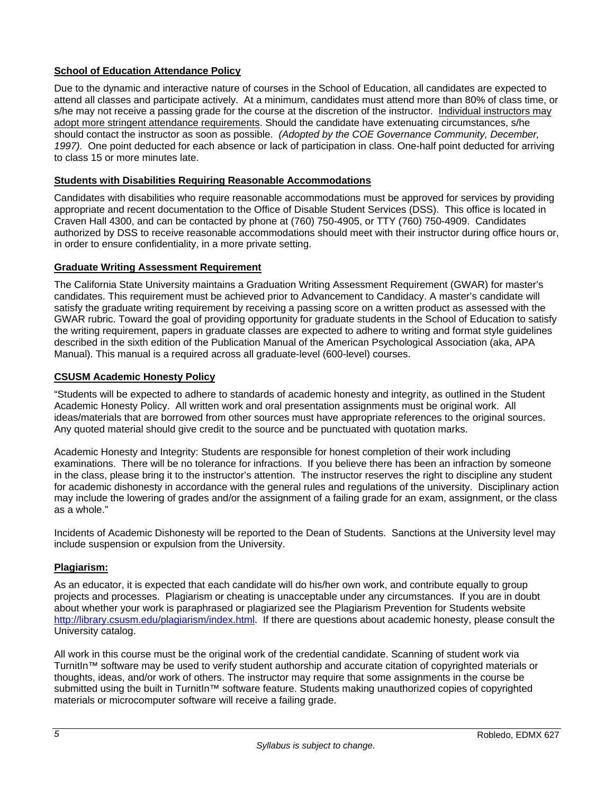## **School of Education Attendance Policy**

Due to the dynamic and interactive nature of courses in the School of Education, all candidates are expected to attend all classes and participate actively. At a minimum, candidates must attend more than 80% of class time, or s/he may not receive a passing grade for the course at the discretion of the instructor. Individual instructors may adopt more stringent attendance requirements. Should the candidate have extenuating circumstances, s/he should contact the instructor as soon as possible. *(Adopted by the COE Governance Community, December, 1997).* One point deducted for each absence or lack of participation in class. One-half point deducted for arriving to class 15 or more minutes late.

## **Students with Disabilities Requiring Reasonable Accommodations**

Candidates with disabilities who require reasonable accommodations must be approved for services by providing appropriate and recent documentation to the Office of Disable Student Services (DSS). This office is located in Craven Hall 4300, and can be contacted by phone at (760) 750-4905, or TTY (760) 750-4909. Candidates authorized by DSS to receive reasonable accommodations should meet with their instructor during office hours or, in order to ensure confidentiality, in a more private setting.

## **Graduate Writing Assessment Requirement**

The California State University maintains a Graduation Writing Assessment Requirement (GWAR) for master's candidates. This requirement must be achieved prior to Advancement to Candidacy. A master's candidate will satisfy the graduate writing requirement by receiving a passing score on a written product as assessed with the GWAR rubric. Toward the goal of providing opportunity for graduate students in the School of Education to satisfy the writing requirement, papers in graduate classes are expected to adhere to writing and format style guidelines described in the sixth edition of the Publication Manual of the American Psychological Association (aka, APA Manual). This manual is a required across all graduate-level (600-level) courses.

#### **CSUSM Academic Honesty Policy**

"Students will be expected to adhere to standards of academic honesty and integrity, as outlined in the Student Academic Honesty Policy. All written work and oral presentation assignments must be original work. All ideas/materials that are borrowed from other sources must have appropriate references to the original sources. Any quoted material should give credit to the source and be punctuated with quotation marks.

Academic Honesty and Integrity: Students are responsible for honest completion of their work including examinations. There will be no tolerance for infractions. If you believe there has been an infraction by someone in the class, please bring it to the instructor's attention. The instructor reserves the right to discipline any student for academic dishonesty in accordance with the general rules and regulations of the university. Disciplinary action may include the lowering of grades and/or the assignment of a failing grade for an exam, assignment, or the class as a whole."

Incidents of Academic Dishonesty will be reported to the Dean of Students. Sanctions at the University level may include suspension or expulsion from the University.

## **Plagiarism:**

As an educator, it is expected that each candidate will do his/her own work, and contribute equally to group projects and processes. Plagiarism or cheating is unacceptable under any circumstances. If you are in doubt about whether your work is paraphrased or plagiarized see the Plagiarism Prevention for Students website http://library.csusm.edu/plagiarism/index.html. If there are questions about academic honesty, please consult the University catalog.

All work in this course must be the original work of the credential candidate. Scanning of student work via TurnitIn™ software may be used to verify student authorship and accurate citation of copyrighted materials or thoughts, ideas, and/or work of others. The instructor may require that some assignments in the course be submitted using the built in TurnitIn™ software feature. Students making unauthorized copies of copyrighted materials or microcomputer software will receive a failing grade.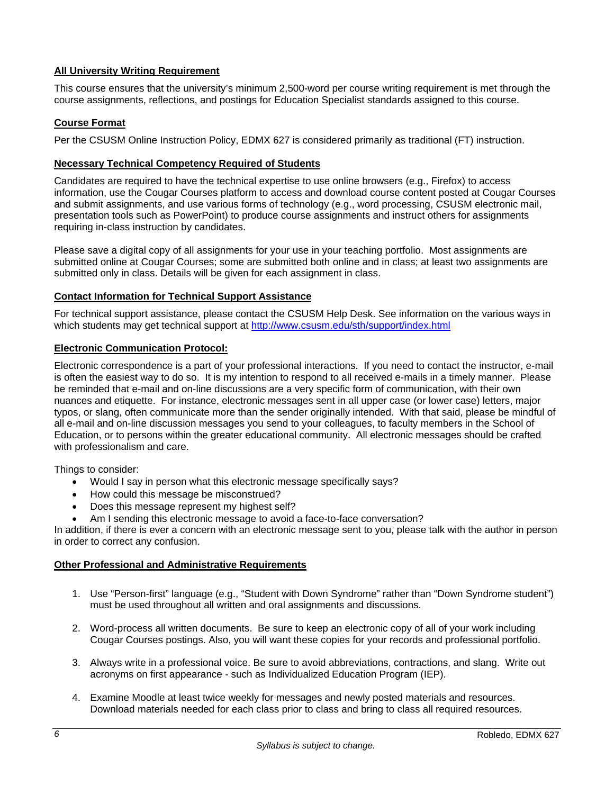## **All University Writing Requirement**

This course ensures that the university's minimum 2,500-word per course writing requirement is met through the course assignments, reflections, and postings for Education Specialist standards assigned to this course.

## **Course Format**

Per the CSUSM Online Instruction Policy, EDMX 627 is considered primarily as traditional (FT) instruction.

## **Necessary Technical Competency Required of Students**

Candidates are required to have the technical expertise to use online browsers (e.g., Firefox) to access information, use the Cougar Courses platform to access and download course content posted at Cougar Courses and submit assignments, and use various forms of technology (e.g., word processing, CSUSM electronic mail, presentation tools such as PowerPoint) to produce course assignments and instruct others for assignments requiring in-class instruction by candidates.

Please save a digital copy of all assignments for your use in your teaching portfolio. Most assignments are submitted online at Cougar Courses; some are submitted both online and in class; at least two assignments are submitted only in class. Details will be given for each assignment in class.

#### **Contact Information for Technical Support Assistance**

For technical support assistance, please contact the CSUSM Help Desk. See information on the various ways in which students may get technical support at http://www.csusm.edu/sth/support/index.html

#### **Electronic Communication Protocol:**

Electronic correspondence is a part of your professional interactions. If you need to contact the instructor, e-mail is often the easiest way to do so. It is my intention to respond to all received e-mails in a timely manner. Please be reminded that e-mail and on-line discussions are a very specific form of communication, with their own nuances and etiquette. For instance, electronic messages sent in all upper case (or lower case) letters, major typos, or slang, often communicate more than the sender originally intended. With that said, please be mindful of all e-mail and on-line discussion messages you send to your colleagues, to faculty members in the School of Education, or to persons within the greater educational community. All electronic messages should be crafted with professionalism and care.

Things to consider:

- Would I say in person what this electronic message specifically says?
- How could this message be misconstrued?
- Does this message represent my highest self?
- Am I sending this electronic message to avoid a face-to-face conversation?

In addition, if there is ever a concern with an electronic message sent to you, please talk with the author in person in order to correct any confusion.

#### **Other Professional and Administrative Requirements**

- 1. Use "Person-first" language (e.g., "Student with Down Syndrome" rather than "Down Syndrome student") must be used throughout all written and oral assignments and discussions.
- 2. Word-process all written documents. Be sure to keep an electronic copy of all of your work including Cougar Courses postings. Also, you will want these copies for your records and professional portfolio.
- 3. Always write in a professional voice. Be sure to avoid abbreviations, contractions, and slang. Write out acronyms on first appearance - such as Individualized Education Program (IEP).
- 4. Examine Moodle at least twice weekly for messages and newly posted materials and resources. Download materials needed for each class prior to class and bring to class all required resources.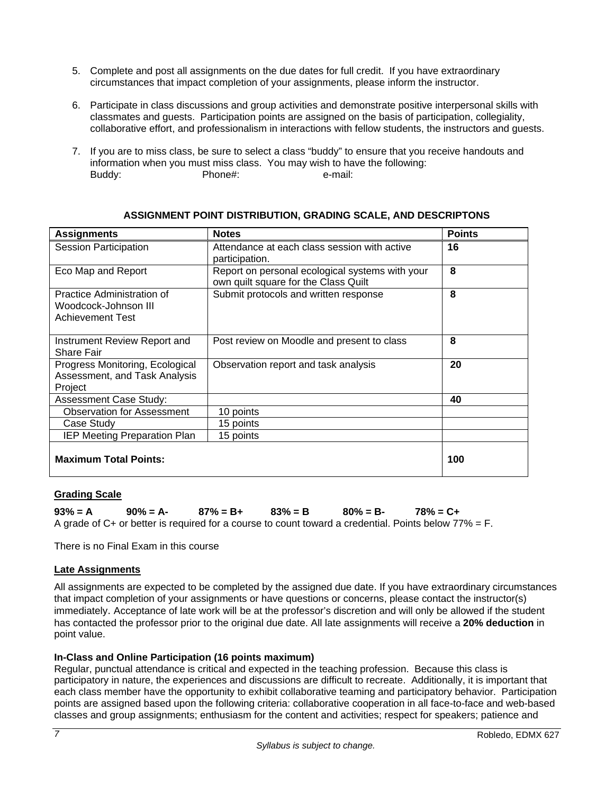- 5. Complete and post all assignments on the due dates for full credit. If you have extraordinary circumstances that impact completion of your assignments, please inform the instructor.
- 6. Participate in class discussions and group activities and demonstrate positive interpersonal skills with classmates and guests. Participation points are assigned on the basis of participation, collegiality, collaborative effort, and professionalism in interactions with fellow students, the instructors and guests.
- 7. If you are to miss class, be sure to select a class "buddy" to ensure that you receive handouts and information when you must miss class. You may wish to have the following: Buddy: Phone#: e-mail:

| <b>Assignments</b>                                                            | <b>Notes</b>                                                                            | <b>Points</b> |
|-------------------------------------------------------------------------------|-----------------------------------------------------------------------------------------|---------------|
| <b>Session Participation</b>                                                  | Attendance at each class session with active<br>participation.                          | 16            |
| Eco Map and Report                                                            | Report on personal ecological systems with your<br>own quilt square for the Class Quilt | 8             |
| Practice Administration of<br>Woodcock-Johnson III<br><b>Achievement Test</b> | Submit protocols and written response                                                   | 8             |
| Instrument Review Report and<br><b>Share Fair</b>                             | Post review on Moodle and present to class                                              | 8             |
| Progress Monitoring, Ecological<br>Assessment, and Task Analysis<br>Project   | Observation report and task analysis                                                    | 20            |
| <b>Assessment Case Study:</b>                                                 |                                                                                         | 40            |
| <b>Observation for Assessment</b>                                             | 10 points                                                                               |               |
| Case Study                                                                    | 15 points                                                                               |               |
| <b>IEP Meeting Preparation Plan</b>                                           | 15 points                                                                               |               |
| <b>Maximum Total Points:</b>                                                  |                                                                                         | 100           |

## **ASSIGNMENT POINT DISTRIBUTION, GRADING SCALE, AND DESCRIPTONS**

## **Grading Scale**

**93% = A 90% = A- 87% = B+ 83% = B 80% = B- 78% = C+**  A grade of C+ or better is required for a course to count toward a credential. Points below  $77\% = F$ .

There is no Final Exam in this course

## **Late Assignments**

All assignments are expected to be completed by the assigned due date. If you have extraordinary circumstances that impact completion of your assignments or have questions or concerns, please contact the instructor(s) immediately. Acceptance of late work will be at the professor's discretion and will only be allowed if the student has contacted the professor prior to the original due date. All late assignments will receive a **20% deduction** in point value.

## **In-Class and Online Participation (16 points maximum)**

Regular, punctual attendance is critical and expected in the teaching profession. Because this class is participatory in nature, the experiences and discussions are difficult to recreate. Additionally, it is important that each class member have the opportunity to exhibit collaborative teaming and participatory behavior. Participation points are assigned based upon the following criteria: collaborative cooperation in all face-to-face and web-based classes and group assignments; enthusiasm for the content and activities; respect for speakers; patience and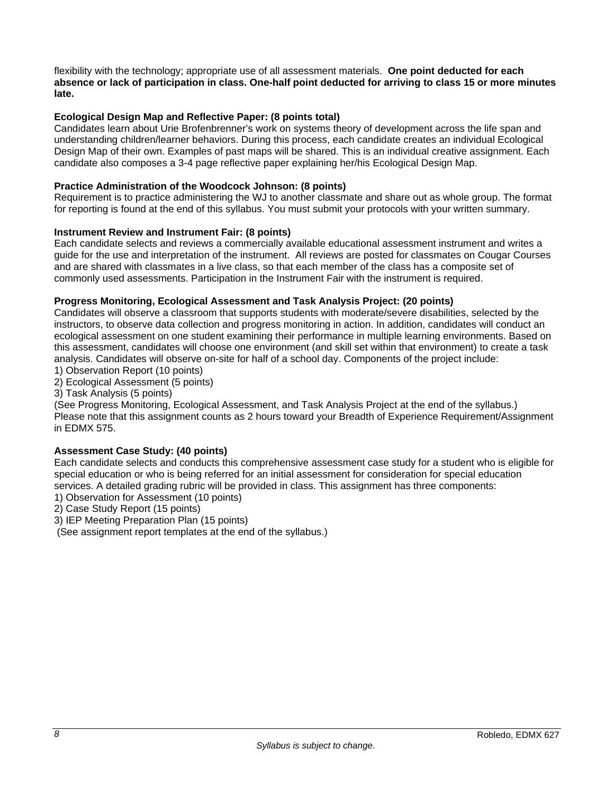flexibility with the technology; appropriate use of all assessment materials. **One point deducted for each absence or lack of participation in class. One-half point deducted for arriving to class 15 or more minutes late.**

## **Ecological Design Map and Reflective Paper: (8 points total)**

Candidates learn about Urie Brofenbrenner's work on systems theory of development across the life span and understanding children/learner behaviors. During this process, each candidate creates an individual Ecological Design Map of their own. Examples of past maps will be shared. This is an individual creative assignment. Each candidate also composes a 3-4 page reflective paper explaining her/his Ecological Design Map.

## **Practice Administration of the Woodcock Johnson: (8 points)**

Requirement is to practice administering the WJ to another classmate and share out as whole group. The format for reporting is found at the end of this syllabus. You must submit your protocols with your written summary.

## **Instrument Review and Instrument Fair: (8 points)**

Each candidate selects and reviews a commercially available educational assessment instrument and writes a guide for the use and interpretation of the instrument. All reviews are posted for classmates on Cougar Courses and are shared with classmates in a live class, so that each member of the class has a composite set of commonly used assessments. Participation in the Instrument Fair with the instrument is required.

#### **Progress Monitoring, Ecological Assessment and Task Analysis Project: (20 points)**

Candidates will observe a classroom that supports students with moderate/severe disabilities, selected by the instructors, to observe data collection and progress monitoring in action. In addition, candidates will conduct an ecological assessment on one student examining their performance in multiple learning environments. Based on this assessment, candidates will choose one environment (and skill set within that environment) to create a task analysis. Candidates will observe on-site for half of a school day. Components of the project include:

- 1) Observation Report (10 points)
- 2) Ecological Assessment (5 points)
- 3) Task Analysis (5 points)

(See Progress Monitoring, Ecological Assessment, and Task Analysis Project at the end of the syllabus.) Please note that this assignment counts as 2 hours toward your Breadth of Experience Requirement/Assignment in EDMX 575.

#### **Assessment Case Study: (40 points)**

Each candidate selects and conducts this comprehensive assessment case study for a student who is eligible for special education or who is being referred for an initial assessment for consideration for special education services. A detailed grading rubric will be provided in class. This assignment has three components:

1) Observation for Assessment (10 points)

2) Case Study Report (15 points)

3) IEP Meeting Preparation Plan (15 points)

(See assignment report templates at the end of the syllabus.)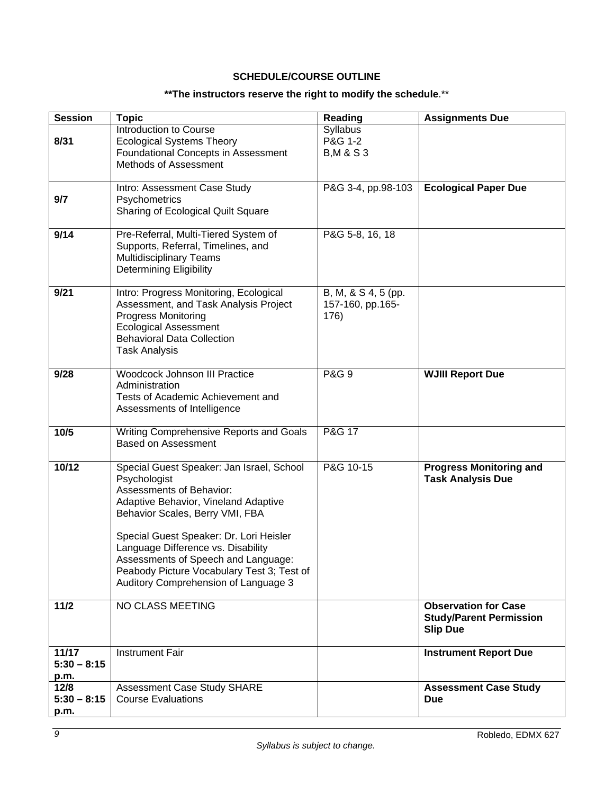## **SCHEDULE/COURSE OUTLINE**

## **\*\*The instructors reserve the right to modify the schedule**.\*\*

| <b>Session</b>         | <b>Topic</b>                                                               | Reading               | <b>Assignments Due</b>         |
|------------------------|----------------------------------------------------------------------------|-----------------------|--------------------------------|
|                        | Introduction to Course                                                     | Syllabus<br>P&G 1-2   |                                |
| 8/31                   | <b>Ecological Systems Theory</b><br>Foundational Concepts in Assessment    | <b>B, M &amp; S 3</b> |                                |
|                        | Methods of Assessment                                                      |                       |                                |
|                        |                                                                            |                       |                                |
|                        | Intro: Assessment Case Study                                               | P&G 3-4, pp.98-103    | <b>Ecological Paper Due</b>    |
| 9/7                    | Psychometrics                                                              |                       |                                |
|                        | Sharing of Ecological Quilt Square                                         |                       |                                |
|                        |                                                                            |                       |                                |
| 9/14                   | Pre-Referral, Multi-Tiered System of<br>Supports, Referral, Timelines, and | P&G 5-8, 16, 18       |                                |
|                        | <b>Multidisciplinary Teams</b>                                             |                       |                                |
|                        | <b>Determining Eligibility</b>                                             |                       |                                |
|                        |                                                                            |                       |                                |
| 9/21                   | Intro: Progress Monitoring, Ecological                                     | B, M, & S 4, 5 (pp.   |                                |
|                        | Assessment, and Task Analysis Project                                      | 157-160, pp.165-      |                                |
|                        | <b>Progress Monitoring</b>                                                 | 176)                  |                                |
|                        | <b>Ecological Assessment</b>                                               |                       |                                |
|                        | <b>Behavioral Data Collection</b><br><b>Task Analysis</b>                  |                       |                                |
|                        |                                                                            |                       |                                |
| 9/28                   | <b>Woodcock Johnson III Practice</b>                                       | <b>P&amp;G 9</b>      | <b>WJIII Report Due</b>        |
|                        | Administration                                                             |                       |                                |
|                        | Tests of Academic Achievement and                                          |                       |                                |
|                        | Assessments of Intelligence                                                |                       |                                |
| 10/5                   | Writing Comprehensive Reports and Goals                                    | P&G 17                |                                |
|                        | <b>Based on Assessment</b>                                                 |                       |                                |
|                        |                                                                            |                       |                                |
| 10/12                  | Special Guest Speaker: Jan Israel, School                                  | P&G 10-15             | <b>Progress Monitoring and</b> |
|                        | Psychologist                                                               |                       | <b>Task Analysis Due</b>       |
|                        | Assessments of Behavior:<br>Adaptive Behavior, Vineland Adaptive           |                       |                                |
|                        | Behavior Scales, Berry VMI, FBA                                            |                       |                                |
|                        |                                                                            |                       |                                |
|                        | Special Guest Speaker: Dr. Lori Heisler                                    |                       |                                |
|                        | Language Difference vs. Disability                                         |                       |                                |
|                        | Assessments of Speech and Language:                                        |                       |                                |
|                        | Peabody Picture Vocabulary Test 3; Test of                                 |                       |                                |
|                        | Auditory Comprehension of Language 3                                       |                       |                                |
| $11/2$                 | NO CLASS MEETING                                                           |                       | <b>Observation for Case</b>    |
|                        |                                                                            |                       | <b>Study/Parent Permission</b> |
|                        |                                                                            |                       | <b>Slip Due</b>                |
|                        | <b>Instrument Fair</b>                                                     |                       |                                |
| 11/17<br>$5:30 - 8:15$ |                                                                            |                       | <b>Instrument Report Due</b>   |
| p.m.                   |                                                                            |                       |                                |
| 12/8                   | Assessment Case Study SHARE                                                |                       | <b>Assessment Case Study</b>   |
| $5:30 - 8:15$          | <b>Course Evaluations</b>                                                  |                       | <b>Due</b>                     |
| p.m.                   |                                                                            |                       |                                |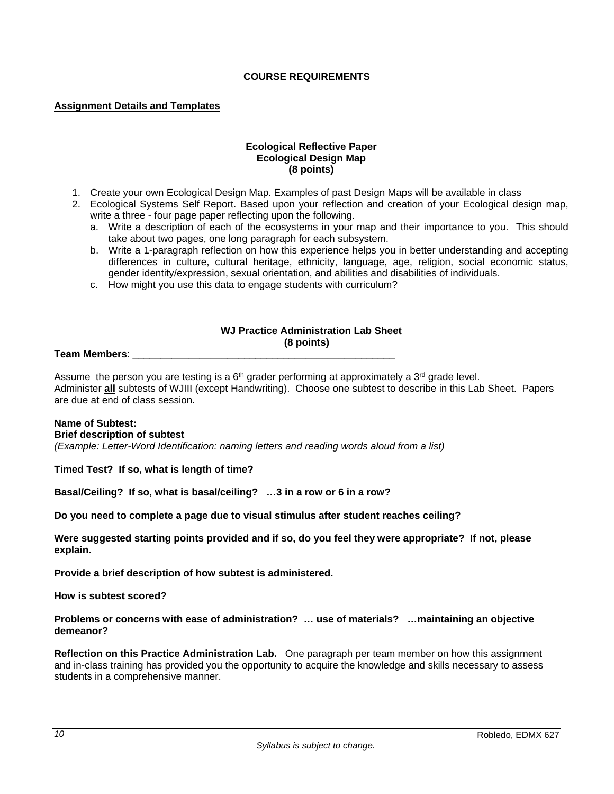## **COURSE REQUIREMENTS**

#### **Assignment Details and Templates**

#### **Ecological Reflective Paper Ecological Design Map (8 points)**

- 1. Create your own Ecological Design Map. Examples of past Design Maps will be available in class
- 2. Ecological Systems Self Report. Based upon your reflection and creation of your Ecological design map, write a three - four page paper reflecting upon the following.
	- a. Write a description of each of the ecosystems in your map and their importance to you. This should take about two pages, one long paragraph for each subsystem.
	- b. Write a 1-paragraph reflection on how this experience helps you in better understanding and accepting differences in culture, cultural heritage, ethnicity, language, age, religion, social economic status, gender identity/expression, sexual orientation, and abilities and disabilities of individuals.
	- c. How might you use this data to engage students with curriculum?

#### **WJ Practice Administration Lab Sheet (8 points)**

#### **Team Members**: \_\_\_\_\_\_\_\_\_\_\_\_\_\_\_\_\_\_\_\_\_\_\_\_\_\_\_\_\_\_\_\_\_\_\_\_\_\_\_\_\_\_\_\_\_\_\_

Assume the person you are testing is a  $6<sup>th</sup>$  grader performing at approximately a  $3<sup>rd</sup>$  grade level. Administer **all** subtests of WJIII (except Handwriting). Choose one subtest to describe in this Lab Sheet. Papers are due at end of class session.

#### **Name of Subtest:**

#### **Brief description of subtest**

*(Example: Letter-Word Identification: naming letters and reading words aloud from a list)* 

**Timed Test? If so, what is length of time?** 

**Basal/Ceiling? If so, what is basal/ceiling? …3 in a row or 6 in a row?** 

**Do you need to complete a page due to visual stimulus after student reaches ceiling?** 

**Were suggested starting points provided and if so, do you feel they were appropriate? If not, please explain.** 

**Provide a brief description of how subtest is administered.** 

**How is subtest scored?** 

**Problems or concerns with ease of administration? … use of materials? …maintaining an objective demeanor?** 

**Reflection on this Practice Administration Lab.** One paragraph per team member on how this assignment and in-class training has provided you the opportunity to acquire the knowledge and skills necessary to assess students in a comprehensive manner.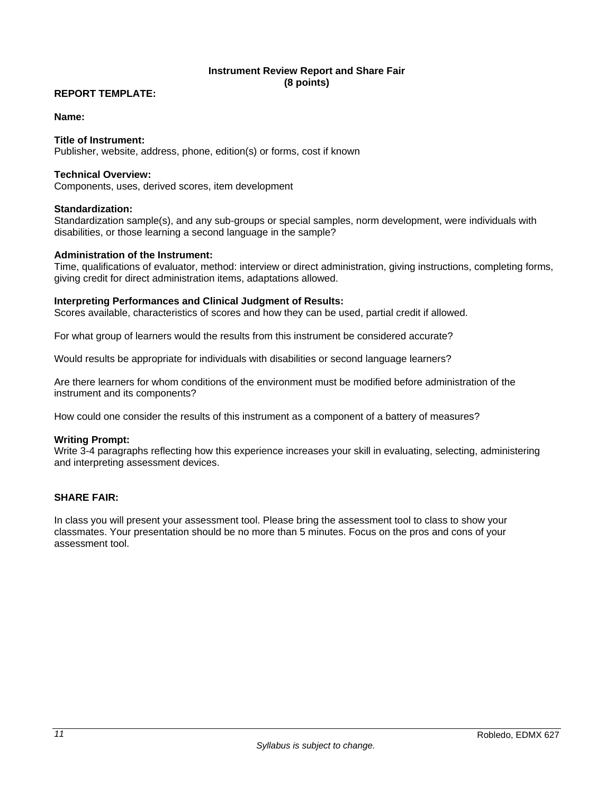## **Instrument Review Report and Share Fair (8 points)**

## **REPORT TEMPLATE:**

#### **Name:**

#### **Title of Instrument:**

Publisher, website, address, phone, edition(s) or forms, cost if known

#### **Technical Overview:**

Components, uses, derived scores, item development

#### **Standardization:**

Standardization sample(s), and any sub-groups or special samples, norm development, were individuals with disabilities, or those learning a second language in the sample?

#### **Administration of the Instrument:**

Time, qualifications of evaluator, method: interview or direct administration, giving instructions, completing forms, giving credit for direct administration items, adaptations allowed.

#### **Interpreting Performances and Clinical Judgment of Results:**

Scores available, characteristics of scores and how they can be used, partial credit if allowed.

For what group of learners would the results from this instrument be considered accurate?

Would results be appropriate for individuals with disabilities or second language learners?

Are there learners for whom conditions of the environment must be modified before administration of the instrument and its components?

How could one consider the results of this instrument as a component of a battery of measures?

#### **Writing Prompt:**

Write 3-4 paragraphs reflecting how this experience increases your skill in evaluating, selecting, administering and interpreting assessment devices.

#### **SHARE FAIR:**

In class you will present your assessment tool. Please bring the assessment tool to class to show your classmates. Your presentation should be no more than 5 minutes. Focus on the pros and cons of your assessment tool.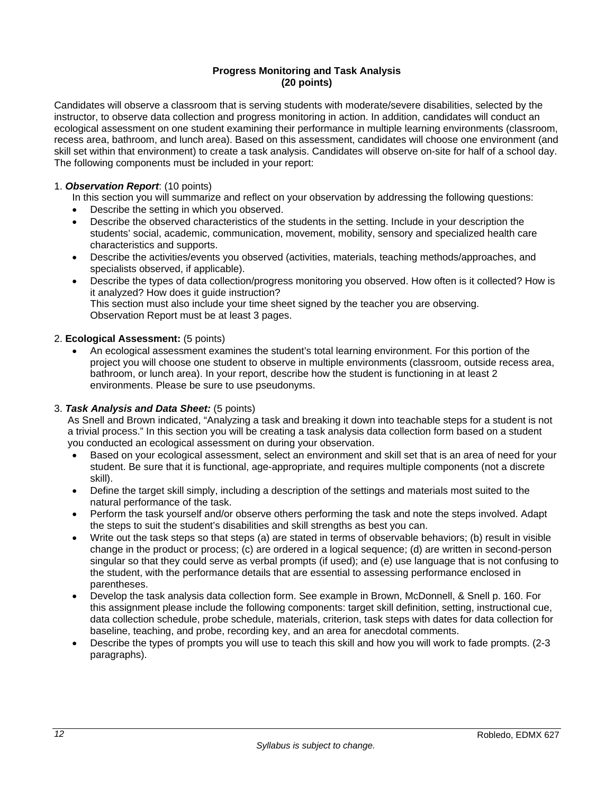#### **Progress Monitoring and Task Analysis (20 points)**

Candidates will observe a classroom that is serving students with moderate/severe disabilities, selected by the instructor, to observe data collection and progress monitoring in action. In addition, candidates will conduct an ecological assessment on one student examining their performance in multiple learning environments (classroom, recess area, bathroom, and lunch area). Based on this assessment, candidates will choose one environment (and skill set within that environment) to create a task analysis. Candidates will observe on-site for half of a school day. The following components must be included in your report:

## 1. *Observation Report*: (10 points)

In this section you will summarize and reflect on your observation by addressing the following questions:

- Describe the setting in which you observed.
- Describe the observed characteristics of the students in the setting. Include in your description the students' social, academic, communication, movement, mobility, sensory and specialized health care characteristics and supports.
- Describe the activities/events you observed (activities, materials, teaching methods/approaches, and specialists observed, if applicable).
- Describe the types of data collection/progress monitoring you observed. How often is it collected? How is it analyzed? How does it guide instruction? This section must also include your time sheet signed by the teacher you are observing. Observation Report must be at least 3 pages.

#### 2. **Ecological Assessment:** (5 points)

 An ecological assessment examines the student's total learning environment. For this portion of the project you will choose one student to observe in multiple environments (classroom, outside recess area, bathroom, or lunch area). In your report, describe how the student is functioning in at least 2 environments. Please be sure to use pseudonyms.

## 3. *Task Analysis and Data Sheet:* (5 points)

As Snell and Brown indicated, "Analyzing a task and breaking it down into teachable steps for a student is not a trivial process." In this section you will be creating a task analysis data collection form based on a student you conducted an ecological assessment on during your observation.

- Based on your ecological assessment, select an environment and skill set that is an area of need for your student. Be sure that it is functional, age-appropriate, and requires multiple components (not a discrete skill).
- Define the target skill simply, including a description of the settings and materials most suited to the natural performance of the task.
- Perform the task yourself and/or observe others performing the task and note the steps involved. Adapt the steps to suit the student's disabilities and skill strengths as best you can.
- Write out the task steps so that steps (a) are stated in terms of observable behaviors; (b) result in visible change in the product or process; (c) are ordered in a logical sequence; (d) are written in second-person singular so that they could serve as verbal prompts (if used); and (e) use language that is not confusing to the student, with the performance details that are essential to assessing performance enclosed in parentheses.
- Develop the task analysis data collection form. See example in Brown, McDonnell, & Snell p. 160. For this assignment please include the following components: target skill definition, setting, instructional cue, data collection schedule, probe schedule, materials, criterion, task steps with dates for data collection for baseline, teaching, and probe, recording key, and an area for anecdotal comments.
- Describe the types of prompts you will use to teach this skill and how you will work to fade prompts. (2-3 paragraphs).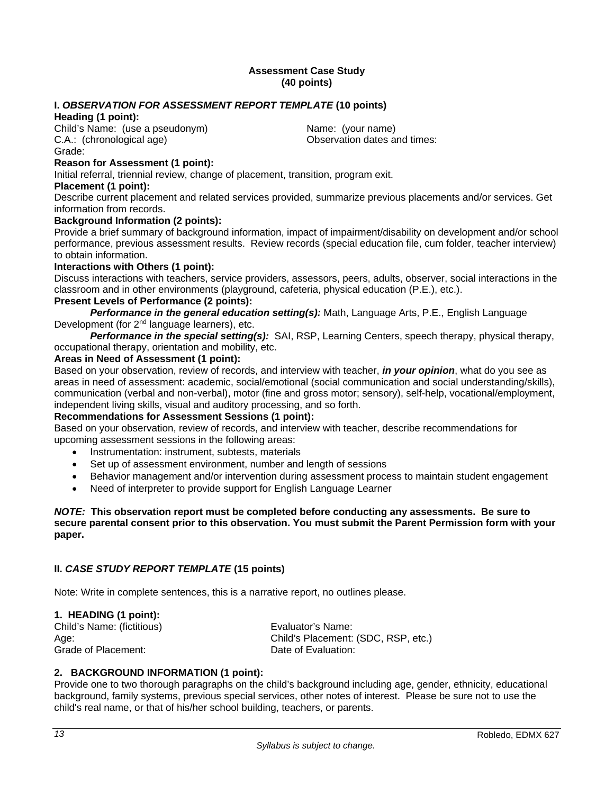#### **Assessment Case Study (40 points)**

## **I.** *OBSERVATION FOR ASSESSMENT REPORT TEMPLATE* **(10 points)**

## **Heading (1 point):**

Child's Name: (use a pseudonym) Name: (your name) C.A.: (chronological age) C.A.: (chronological age) Grade:

## **Reason for Assessment (1 point):**

Initial referral, triennial review, change of placement, transition, program exit.

#### **Placement (1 point):**

Describe current placement and related services provided, summarize previous placements and/or services. Get information from records.

## **Background Information (2 points):**

Provide a brief summary of background information, impact of impairment/disability on development and/or school performance, previous assessment results. Review records (special education file, cum folder, teacher interview) to obtain information.

## **Interactions with Others (1 point):**

Discuss interactions with teachers, service providers, assessors, peers, adults, observer, social interactions in the classroom and in other environments (playground, cafeteria, physical education (P.E.), etc.).

## **Present Levels of Performance (2 points):**

*Performance in the general education setting(s):* Math, Language Arts, P.E., English Language Development (for 2nd language learners), etc.

*Performance in the special setting(s):* SAI, RSP, Learning Centers, speech therapy, physical therapy, occupational therapy, orientation and mobility, etc.

#### **Areas in Need of Assessment (1 point):**

Based on your observation, review of records, and interview with teacher, *in your opinion*, what do you see as areas in need of assessment: academic, social/emotional (social communication and social understanding/skills), communication (verbal and non-verbal), motor (fine and gross motor; sensory), self-help, vocational/employment, independent living skills, visual and auditory processing, and so forth.

## **Recommendations for Assessment Sessions (1 point):**

Based on your observation, review of records, and interview with teacher, describe recommendations for upcoming assessment sessions in the following areas:

- Instrumentation: instrument, subtests, materials
- Set up of assessment environment, number and length of sessions
- Behavior management and/or intervention during assessment process to maintain student engagement
- Need of interpreter to provide support for English Language Learner

#### *NOTE:* **This observation report must be completed before conducting any assessments. Be sure to secure parental consent prior to this observation. You must submit the Parent Permission form with your paper.**

## **II.** *CASE STUDY REPORT TEMPLATE* **(15 points)**

Note: Write in complete sentences, this is a narrative report, no outlines please.

#### **1. HEADING (1 point):**

Child's Name: (fictitious) Evaluator's Name: Grade of Placement: Case Controller Controller Date of Evaluation:

Age: Child's Placement: (SDC, RSP, etc.)

## **2. BACKGROUND INFORMATION (1 point):**

Provide one to two thorough paragraphs on the child's background including age, gender, ethnicity, educational background, family systems, previous special services, other notes of interest. Please be sure not to use the child's real name, or that of his/her school building, teachers, or parents.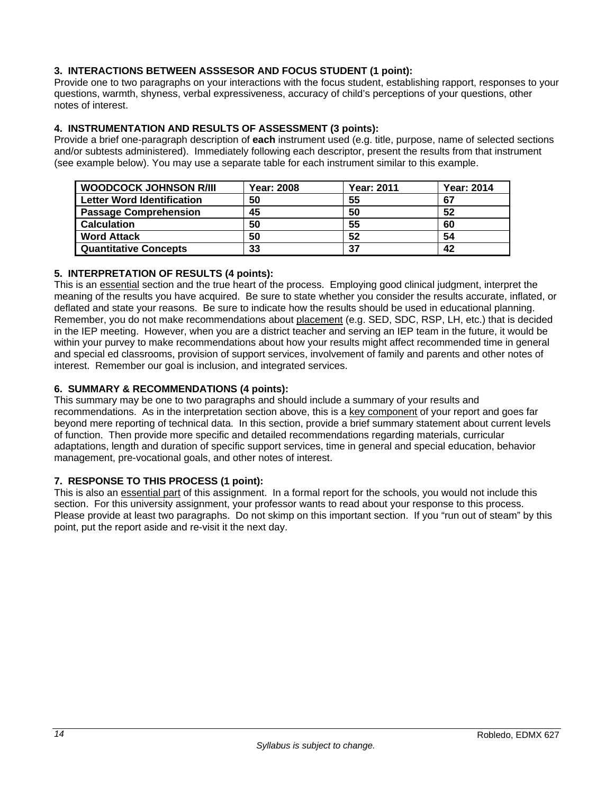## **3. INTERACTIONS BETWEEN ASSSESOR AND FOCUS STUDENT (1 point):**

Provide one to two paragraphs on your interactions with the focus student, establishing rapport, responses to your questions, warmth, shyness, verbal expressiveness, accuracy of child's perceptions of your questions, other notes of interest.

## **4. INSTRUMENTATION AND RESULTS OF ASSESSMENT (3 points):**

Provide a brief one-paragraph description of **each** instrument used (e.g. title, purpose, name of selected sections and/or subtests administered). Immediately following each descriptor, present the results from that instrument (see example below). You may use a separate table for each instrument similar to this example.

| <b>WOODCOCK JOHNSON R/III</b>     | <b>Year: 2008</b> | <b>Year: 2011</b> | <b>Year: 2014</b> |
|-----------------------------------|-------------------|-------------------|-------------------|
| <b>Letter Word Identification</b> | 50                | 55                | 67                |
| <b>Passage Comprehension</b>      | 45                | 50                | 52                |
| <b>Calculation</b>                | 50                | 55                | 60                |
| <b>Word Attack</b>                | 50                | 52                | 54                |
| <b>Quantitative Concepts</b>      | 33                | 37                | 42                |

## **5. INTERPRETATION OF RESULTS (4 points):**

This is an essential section and the true heart of the process. Employing good clinical judgment, interpret the meaning of the results you have acquired. Be sure to state whether you consider the results accurate, inflated, or deflated and state your reasons. Be sure to indicate how the results should be used in educational planning. Remember, you do not make recommendations about placement (e.g. SED, SDC, RSP, LH, etc.) that is decided in the IEP meeting. However, when you are a district teacher and serving an IEP team in the future, it would be within your purvey to make recommendations about how your results might affect recommended time in general and special ed classrooms, provision of support services, involvement of family and parents and other notes of interest. Remember our goal is inclusion, and integrated services.

## **6. SUMMARY & RECOMMENDATIONS (4 points):**

This summary may be one to two paragraphs and should include a summary of your results and recommendations. As in the interpretation section above, this is a key component of your report and goes far beyond mere reporting of technical data. In this section, provide a brief summary statement about current levels of function. Then provide more specific and detailed recommendations regarding materials, curricular adaptations, length and duration of specific support services, time in general and special education, behavior management, pre-vocational goals, and other notes of interest.

## **7. RESPONSE TO THIS PROCESS (1 point):**

This is also an essential part of this assignment. In a formal report for the schools, you would not include this section. For this university assignment, your professor wants to read about your response to this process. Please provide at least two paragraphs. Do not skimp on this important section. If you "run out of steam" by this point, put the report aside and re-visit it the next day.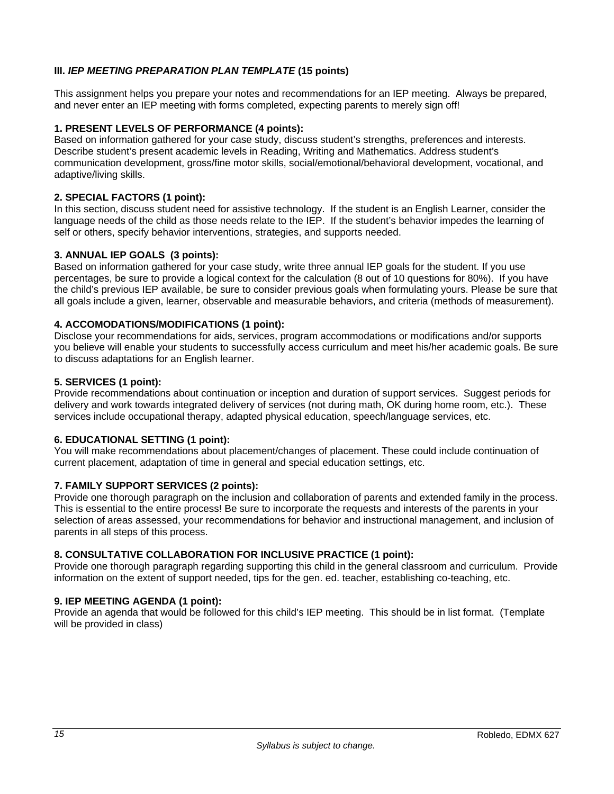## **III.** *IEP MEETING PREPARATION PLAN TEMPLATE* **(15 points)**

This assignment helps you prepare your notes and recommendations for an IEP meeting. Always be prepared, and never enter an IEP meeting with forms completed, expecting parents to merely sign off!

#### **1. PRESENT LEVELS OF PERFORMANCE (4 points):**

Based on information gathered for your case study, discuss student's strengths, preferences and interests. Describe student's present academic levels in Reading, Writing and Mathematics. Address student's communication development, gross/fine motor skills, social/emotional/behavioral development, vocational, and adaptive/living skills.

#### **2. SPECIAL FACTORS (1 point):**

In this section, discuss student need for assistive technology. If the student is an English Learner, consider the language needs of the child as those needs relate to the IEP. If the student's behavior impedes the learning of self or others, specify behavior interventions, strategies, and supports needed.

#### **3. ANNUAL IEP GOALS (3 points):**

Based on information gathered for your case study, write three annual IEP goals for the student. If you use percentages, be sure to provide a logical context for the calculation (8 out of 10 questions for 80%). If you have the child's previous IEP available, be sure to consider previous goals when formulating yours. Please be sure that all goals include a given, learner, observable and measurable behaviors, and criteria (methods of measurement).

#### **4. ACCOMODATIONS/MODIFICATIONS (1 point):**

Disclose your recommendations for aids, services, program accommodations or modifications and/or supports you believe will enable your students to successfully access curriculum and meet his/her academic goals. Be sure to discuss adaptations for an English learner.

#### **5. SERVICES (1 point):**

Provide recommendations about continuation or inception and duration of support services. Suggest periods for delivery and work towards integrated delivery of services (not during math, OK during home room, etc.). These services include occupational therapy, adapted physical education, speech/language services, etc.

#### **6. EDUCATIONAL SETTING (1 point):**

You will make recommendations about placement/changes of placement. These could include continuation of current placement, adaptation of time in general and special education settings, etc.

## **7. FAMILY SUPPORT SERVICES (2 points):**

Provide one thorough paragraph on the inclusion and collaboration of parents and extended family in the process. This is essential to the entire process! Be sure to incorporate the requests and interests of the parents in your selection of areas assessed, your recommendations for behavior and instructional management, and inclusion of parents in all steps of this process.

#### **8. CONSULTATIVE COLLABORATION FOR INCLUSIVE PRACTICE (1 point):**

Provide one thorough paragraph regarding supporting this child in the general classroom and curriculum. Provide information on the extent of support needed, tips for the gen. ed. teacher, establishing co-teaching, etc.

## **9. IEP MEETING AGENDA (1 point):**

Provide an agenda that would be followed for this child's IEP meeting. This should be in list format. (Template will be provided in class)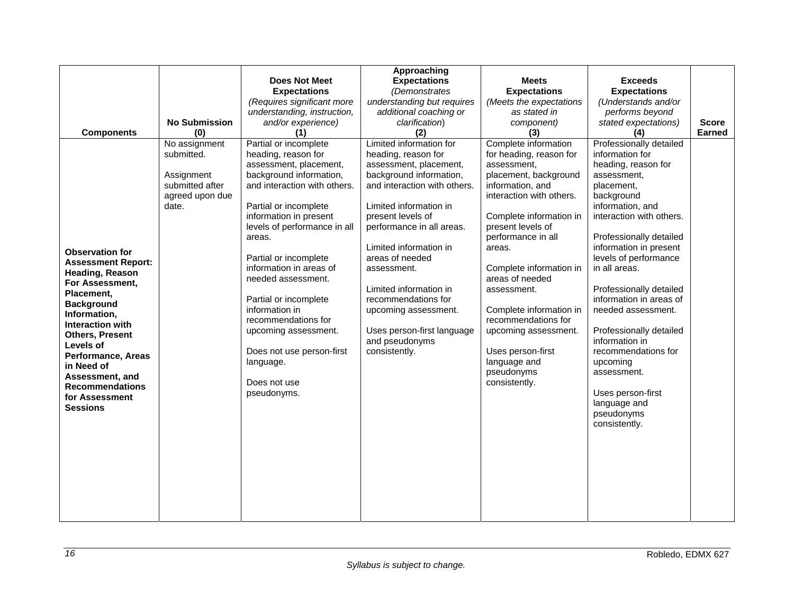| <b>Components</b>                                                                                                                                                                                                                                                                                                                    | <b>No Submission</b><br>(0)                                                              | Does Not Meet<br><b>Expectations</b><br>(Requires significant more<br>understanding, instruction,<br>and/or experience)<br>(1)                                                                                                                                                                                                                                                                                                                                              | Approaching<br><b>Expectations</b><br>(Demonstrates<br>understanding but requires<br>additional coaching or<br>clarification)<br>(2)                                                                                                                                                                                                                                                                                  | <b>Meets</b><br><b>Expectations</b><br>(Meets the expectations<br>as stated in<br>component)<br>(3)                                                                                                                                                                                                                                                                                                                                | <b>Exceeds</b><br><b>Expectations</b><br>(Understands and/or<br>performs beyond<br>stated expectations)<br>(4)                                                                                                                                                                                                                                                                                                                                                                                             | <b>Score</b><br><b>Earned</b> |
|--------------------------------------------------------------------------------------------------------------------------------------------------------------------------------------------------------------------------------------------------------------------------------------------------------------------------------------|------------------------------------------------------------------------------------------|-----------------------------------------------------------------------------------------------------------------------------------------------------------------------------------------------------------------------------------------------------------------------------------------------------------------------------------------------------------------------------------------------------------------------------------------------------------------------------|-----------------------------------------------------------------------------------------------------------------------------------------------------------------------------------------------------------------------------------------------------------------------------------------------------------------------------------------------------------------------------------------------------------------------|------------------------------------------------------------------------------------------------------------------------------------------------------------------------------------------------------------------------------------------------------------------------------------------------------------------------------------------------------------------------------------------------------------------------------------|------------------------------------------------------------------------------------------------------------------------------------------------------------------------------------------------------------------------------------------------------------------------------------------------------------------------------------------------------------------------------------------------------------------------------------------------------------------------------------------------------------|-------------------------------|
| <b>Observation for</b><br><b>Assessment Report:</b><br>Heading, Reason<br>For Assessment,<br>Placement,<br><b>Background</b><br>Information,<br><b>Interaction with</b><br><b>Others, Present</b><br>Levels of<br>Performance, Areas<br>in Need of<br>Assessment, and<br><b>Recommendations</b><br>for Assessment<br><b>Sessions</b> | No assignment<br>submitted.<br>Assignment<br>submitted after<br>agreed upon due<br>date. | Partial or incomplete<br>heading, reason for<br>assessment, placement,<br>background information,<br>and interaction with others.<br>Partial or incomplete<br>information in present<br>levels of performance in all<br>areas.<br>Partial or incomplete<br>information in areas of<br>needed assessment.<br>Partial or incomplete<br>information in<br>recommendations for<br>upcoming assessment.<br>Does not use person-first<br>language.<br>Does not use<br>pseudonyms. | Limited information for<br>heading, reason for<br>assessment, placement,<br>background information,<br>and interaction with others.<br>Limited information in<br>present levels of<br>performance in all areas.<br>Limited information in<br>areas of needed<br>assessment.<br>Limited information in<br>recommendations for<br>upcoming assessment.<br>Uses person-first language<br>and pseudonyms<br>consistently. | Complete information<br>for heading, reason for<br>assessment,<br>placement, background<br>information, and<br>interaction with others.<br>Complete information in<br>present levels of<br>performance in all<br>areas.<br>Complete information in<br>areas of needed<br>assessment.<br>Complete information in<br>recommendations for<br>upcoming assessment.<br>Uses person-first<br>language and<br>pseudonyms<br>consistently. | Professionally detailed<br>information for<br>heading, reason for<br>assessment,<br>placement,<br>background<br>information, and<br>interaction with others.<br>Professionally detailed<br>information in present<br>levels of performance<br>in all areas.<br>Professionally detailed<br>information in areas of<br>needed assessment.<br>Professionally detailed<br>information in<br>recommendations for<br>upcoming<br>assessment.<br>Uses person-first<br>language and<br>pseudonyms<br>consistently. |                               |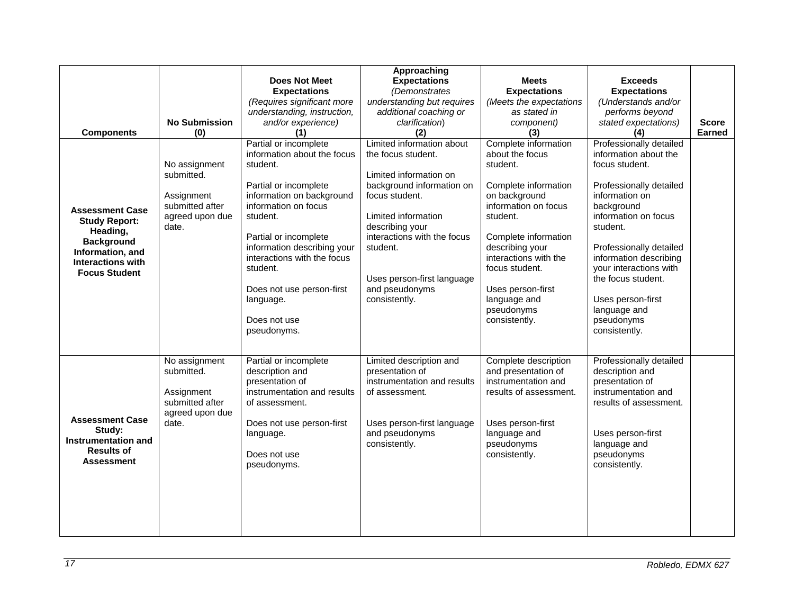| <b>Components</b><br><b>Assessment Case</b><br><b>Study Report:</b><br>Heading,<br><b>Background</b><br>Information, and<br><b>Interactions with</b><br><b>Focus Student</b> | <b>No Submission</b><br>(0)<br>No assignment<br>submitted.<br>Assignment<br>submitted after<br>agreed upon due<br>date. | <b>Does Not Meet</b><br><b>Expectations</b><br>(Requires significant more<br>understanding, instruction,<br>and/or experience)<br>(1)<br>Partial or incomplete<br>information about the focus<br>student.<br>Partial or incomplete<br>information on background<br>information on focus<br>student.<br>Partial or incomplete<br>information describing your<br>interactions with the focus<br>student.<br>Does not use person-first<br>language.<br>Does not use<br>pseudonyms. | Approaching<br><b>Expectations</b><br>(Demonstrates<br>understanding but requires<br>additional coaching or<br>clarification)<br>(2)<br>Limited information about<br>the focus student.<br>Limited information on<br>background information on<br>focus student.<br>Limited information<br>describing your<br>interactions with the focus<br>student.<br>Uses person-first language<br>and pseudonyms<br>consistently. | <b>Meets</b><br><b>Expectations</b><br>(Meets the expectations<br>as stated in<br>component)<br>(3)<br>Complete information<br>about the focus<br>student.<br>Complete information<br>on background<br>information on focus<br>student.<br>Complete information<br>describing your<br>interactions with the<br>focus student.<br>Uses person-first<br>language and<br>pseudonyms<br>consistently. | <b>Exceeds</b><br><b>Expectations</b><br>(Understands and/or<br>performs beyond<br>stated expectations)<br>(4)<br>Professionally detailed<br>information about the<br>focus student.<br>Professionally detailed<br>information on<br>background<br>information on focus<br>student.<br>Professionally detailed<br>information describing<br>your interactions with<br>the focus student.<br>Uses person-first<br>language and<br>pseudonyms<br>consistently. | <b>Score</b><br><b>Earned</b> |
|------------------------------------------------------------------------------------------------------------------------------------------------------------------------------|-------------------------------------------------------------------------------------------------------------------------|---------------------------------------------------------------------------------------------------------------------------------------------------------------------------------------------------------------------------------------------------------------------------------------------------------------------------------------------------------------------------------------------------------------------------------------------------------------------------------|------------------------------------------------------------------------------------------------------------------------------------------------------------------------------------------------------------------------------------------------------------------------------------------------------------------------------------------------------------------------------------------------------------------------|---------------------------------------------------------------------------------------------------------------------------------------------------------------------------------------------------------------------------------------------------------------------------------------------------------------------------------------------------------------------------------------------------|--------------------------------------------------------------------------------------------------------------------------------------------------------------------------------------------------------------------------------------------------------------------------------------------------------------------------------------------------------------------------------------------------------------------------------------------------------------|-------------------------------|
| <b>Assessment Case</b><br>Study:<br>Instrumentation and<br><b>Results of</b><br><b>Assessment</b>                                                                            | No assignment<br>submitted.<br>Assignment<br>submitted after<br>agreed upon due<br>date.                                | Partial or incomplete<br>description and<br>presentation of<br>instrumentation and results<br>of assessment.<br>Does not use person-first<br>language.<br>Does not use<br>pseudonyms.                                                                                                                                                                                                                                                                                           | Limited description and<br>presentation of<br>instrumentation and results<br>of assessment.<br>Uses person-first language<br>and pseudonyms<br>consistently.                                                                                                                                                                                                                                                           | Complete description<br>and presentation of<br>instrumentation and<br>results of assessment.<br>Uses person-first<br>language and<br>pseudonyms<br>consistently.                                                                                                                                                                                                                                  | Professionally detailed<br>description and<br>presentation of<br>instrumentation and<br>results of assessment.<br>Uses person-first<br>language and<br>pseudonyms<br>consistently.                                                                                                                                                                                                                                                                           |                               |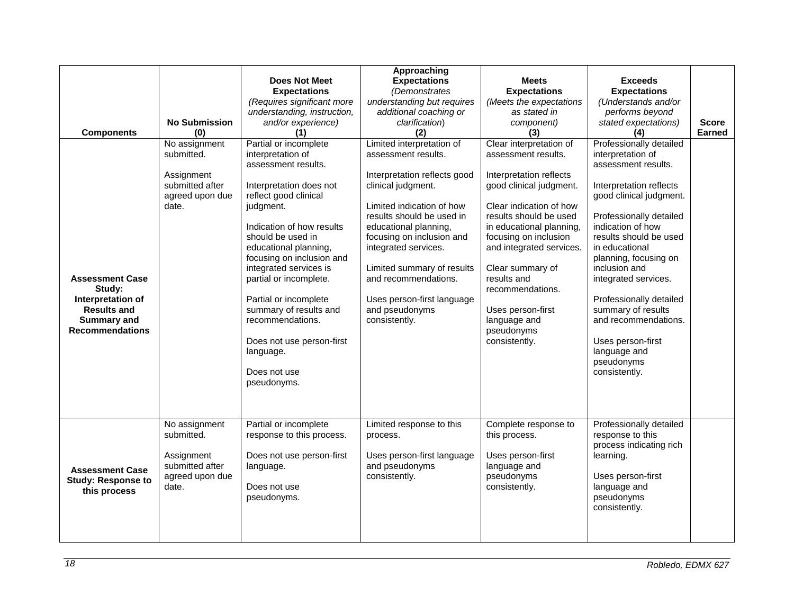| <b>Components</b><br><b>Assessment Case</b><br>Study:<br>Interpretation of<br><b>Results and</b><br><b>Summary and</b><br><b>Recommendations</b> | <b>No Submission</b><br>(0)<br>No assignment<br>submitted.<br>Assignment<br>submitted after<br>agreed upon due<br>date. | Does Not Meet<br><b>Expectations</b><br>(Requires significant more<br>understanding, instruction,<br>and/or experience)<br>(1)<br>Partial or incomplete<br>interpretation of<br>assessment results.<br>Interpretation does not<br>reflect good clinical<br>judgment.<br>Indication of how results<br>should be used in<br>educational planning,<br>focusing on inclusion and<br>integrated services is<br>partial or incomplete.<br>Partial or incomplete<br>summary of results and<br>recommendations.<br>Does not use person-first<br>language.<br>Does not use<br>pseudonyms. | Approaching<br><b>Expectations</b><br>(Demonstrates<br>understanding but requires<br>additional coaching or<br>clarification)<br>(2)<br>Limited interpretation of<br>assessment results.<br>Interpretation reflects good<br>clinical judgment.<br>Limited indication of how<br>results should be used in<br>educational planning,<br>focusing on inclusion and<br>integrated services.<br>Limited summary of results<br>and recommendations.<br>Uses person-first language<br>and pseudonyms<br>consistently. | <b>Meets</b><br><b>Expectations</b><br>(Meets the expectations<br>as stated in<br>component)<br>(3)<br>Clear interpretation of<br>assessment results.<br>Interpretation reflects<br>good clinical judgment.<br>Clear indication of how<br>results should be used<br>in educational planning,<br>focusing on inclusion<br>and integrated services.<br>Clear summary of<br>results and<br>recommendations.<br>Uses person-first<br>language and<br>pseudonyms<br>consistently. | <b>Exceeds</b><br><b>Expectations</b><br>(Understands and/or<br>performs beyond<br>stated expectations)<br>(4)<br>Professionally detailed<br>interpretation of<br>assessment results.<br>Interpretation reflects<br>good clinical judgment.<br>Professionally detailed<br>indication of how<br>results should be used<br>in educational<br>planning, focusing on<br>inclusion and<br>integrated services.<br>Professionally detailed<br>summary of results<br>and recommendations.<br>Uses person-first<br>language and<br>pseudonyms<br>consistently. | <b>Score</b><br>Earned |
|--------------------------------------------------------------------------------------------------------------------------------------------------|-------------------------------------------------------------------------------------------------------------------------|----------------------------------------------------------------------------------------------------------------------------------------------------------------------------------------------------------------------------------------------------------------------------------------------------------------------------------------------------------------------------------------------------------------------------------------------------------------------------------------------------------------------------------------------------------------------------------|---------------------------------------------------------------------------------------------------------------------------------------------------------------------------------------------------------------------------------------------------------------------------------------------------------------------------------------------------------------------------------------------------------------------------------------------------------------------------------------------------------------|------------------------------------------------------------------------------------------------------------------------------------------------------------------------------------------------------------------------------------------------------------------------------------------------------------------------------------------------------------------------------------------------------------------------------------------------------------------------------|--------------------------------------------------------------------------------------------------------------------------------------------------------------------------------------------------------------------------------------------------------------------------------------------------------------------------------------------------------------------------------------------------------------------------------------------------------------------------------------------------------------------------------------------------------|------------------------|
| <b>Assessment Case</b><br><b>Study: Response to</b><br>this process                                                                              | No assignment<br>submitted.<br>Assignment<br>submitted after<br>agreed upon due<br>date.                                | Partial or incomplete<br>response to this process.<br>Does not use person-first<br>language.<br>Does not use<br>pseudonyms.                                                                                                                                                                                                                                                                                                                                                                                                                                                      | Limited response to this<br>process.<br>Uses person-first language<br>and pseudonyms<br>consistently.                                                                                                                                                                                                                                                                                                                                                                                                         | Complete response to<br>this process.<br>Uses person-first<br>language and<br>pseudonyms<br>consistently.                                                                                                                                                                                                                                                                                                                                                                    | Professionally detailed<br>response to this<br>process indicating rich<br>learning.<br>Uses person-first<br>language and<br>pseudonyms<br>consistently.                                                                                                                                                                                                                                                                                                                                                                                                |                        |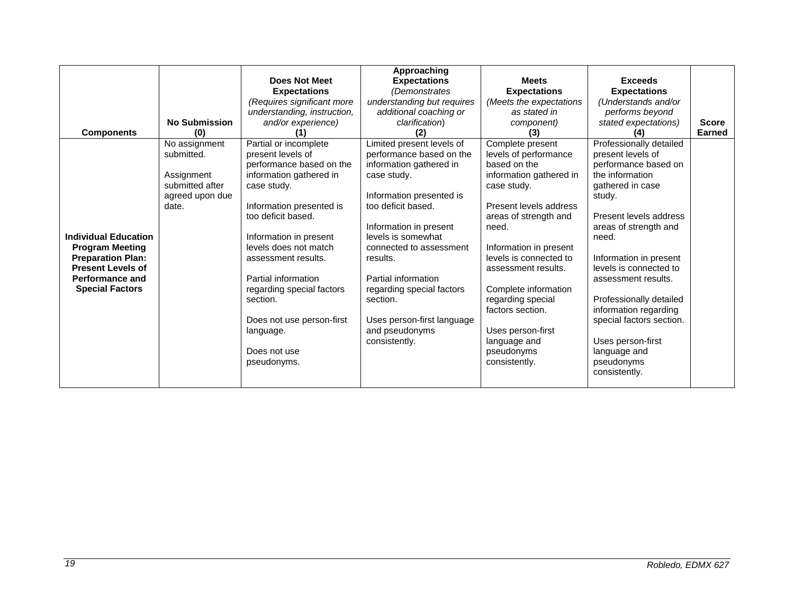|                                                                                                                                                                   | <b>No Submission</b>                                                                     | <b>Does Not Meet</b><br><b>Expectations</b><br>(Requires significant more<br>understanding, instruction,<br>and/or experience)                                                                                                                                                                                                                                                        | Approaching<br><b>Expectations</b><br>(Demonstrates<br>understanding but requires<br>additional coaching or<br>clarification)                                                                                                                                                                                                                                             | <b>Meets</b><br><b>Expectations</b><br>(Meets the expectations<br>as stated in<br>component)                                                                                                                                                                                                                                                                                    | <b>Exceeds</b><br><b>Expectations</b><br>(Understands and/or<br>performs beyond<br>stated expectations)                                                                                                                                                                                                                                                                                                          | <b>Score</b> |
|-------------------------------------------------------------------------------------------------------------------------------------------------------------------|------------------------------------------------------------------------------------------|---------------------------------------------------------------------------------------------------------------------------------------------------------------------------------------------------------------------------------------------------------------------------------------------------------------------------------------------------------------------------------------|---------------------------------------------------------------------------------------------------------------------------------------------------------------------------------------------------------------------------------------------------------------------------------------------------------------------------------------------------------------------------|---------------------------------------------------------------------------------------------------------------------------------------------------------------------------------------------------------------------------------------------------------------------------------------------------------------------------------------------------------------------------------|------------------------------------------------------------------------------------------------------------------------------------------------------------------------------------------------------------------------------------------------------------------------------------------------------------------------------------------------------------------------------------------------------------------|--------------|
| <b>Components</b>                                                                                                                                                 | (0)                                                                                      |                                                                                                                                                                                                                                                                                                                                                                                       | (2)                                                                                                                                                                                                                                                                                                                                                                       | (3)                                                                                                                                                                                                                                                                                                                                                                             |                                                                                                                                                                                                                                                                                                                                                                                                                  | Earned       |
| <b>Individual Education</b><br><b>Program Meeting</b><br><b>Preparation Plan:</b><br><b>Present Levels of</b><br><b>Performance and</b><br><b>Special Factors</b> | No assignment<br>submitted.<br>Assignment<br>submitted after<br>agreed upon due<br>date. | Partial or incomplete<br>present levels of<br>performance based on the<br>information gathered in<br>case study.<br>Information presented is<br>too deficit based.<br>Information in present<br>levels does not match<br>assessment results.<br>Partial information<br>regarding special factors<br>section.<br>Does not use person-first<br>language.<br>Does not use<br>pseudonyms. | Limited present levels of<br>performance based on the<br>information gathered in<br>case study.<br>Information presented is<br>too deficit based.<br>Information in present<br>levels is somewhat<br>connected to assessment<br>results.<br>Partial information<br>regarding special factors<br>section.<br>Uses person-first language<br>and pseudonyms<br>consistently. | Complete present<br>levels of performance<br>based on the<br>information gathered in<br>case study.<br>Present levels address<br>areas of strength and<br>need.<br>Information in present<br>levels is connected to<br>assessment results.<br>Complete information<br>regarding special<br>factors section.<br>Uses person-first<br>language and<br>pseudonyms<br>consistently. | Professionally detailed<br>present levels of<br>performance based on<br>the information<br>gathered in case<br>study.<br>Present levels address<br>areas of strength and<br>need.<br>Information in present<br>levels is connected to<br>assessment results.<br>Professionally detailed<br>information regarding<br>special factors section.<br>Uses person-first<br>language and<br>pseudonyms<br>consistently. |              |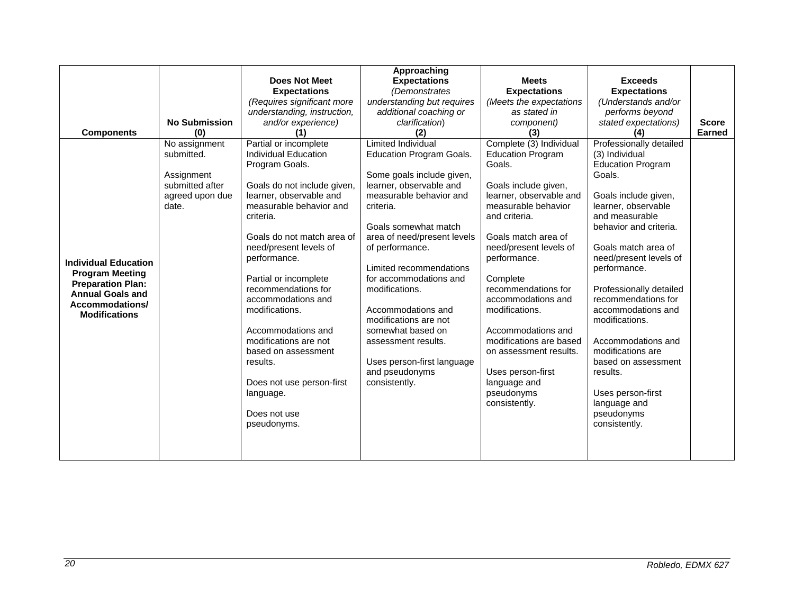|                                                                                                                                                         |                      |                             | Approaching                     |                          |                          |               |
|---------------------------------------------------------------------------------------------------------------------------------------------------------|----------------------|-----------------------------|---------------------------------|--------------------------|--------------------------|---------------|
|                                                                                                                                                         |                      | Does Not Meet               | <b>Expectations</b>             | <b>Meets</b>             | <b>Exceeds</b>           |               |
|                                                                                                                                                         |                      | <b>Expectations</b>         | (Demonstrates                   | <b>Expectations</b>      | <b>Expectations</b>      |               |
|                                                                                                                                                         |                      | (Requires significant more  | understanding but requires      | (Meets the expectations  | (Understands and/or      |               |
|                                                                                                                                                         |                      | understanding, instruction, | additional coaching or          | as stated in             | performs beyond          |               |
|                                                                                                                                                         | <b>No Submission</b> | and/or experience)          | clarification)                  | component)               | stated expectations)     | <b>Score</b>  |
| <b>Components</b>                                                                                                                                       | (0)                  |                             | (2)                             | (3)                      |                          | <b>Earned</b> |
|                                                                                                                                                         | No assignment        | Partial or incomplete       | <b>Limited Individual</b>       | Complete (3) Individual  | Professionally detailed  |               |
|                                                                                                                                                         | submitted.           | Individual Education        | <b>Education Program Goals.</b> | <b>Education Program</b> | (3) Individual           |               |
| <b>Individual Education</b><br><b>Program Meeting</b><br><b>Preparation Plan:</b><br><b>Annual Goals and</b><br>Accommodations/<br><b>Modifications</b> |                      | Program Goals.              |                                 | Goals.                   | <b>Education Program</b> |               |
|                                                                                                                                                         | Assignment           |                             | Some goals include given,       |                          | Goals.                   |               |
|                                                                                                                                                         | submitted after      | Goals do not include given, | learner, observable and         | Goals include given,     |                          |               |
|                                                                                                                                                         | agreed upon due      | learner, observable and     | measurable behavior and         | learner, observable and  | Goals include given,     |               |
|                                                                                                                                                         | date.                | measurable behavior and     | criteria.                       | measurable behavior      | learner, observable      |               |
|                                                                                                                                                         |                      | criteria.                   |                                 | and criteria.            | and measurable           |               |
|                                                                                                                                                         |                      |                             | Goals somewhat match            |                          | behavior and criteria.   |               |
|                                                                                                                                                         |                      | Goals do not match area of  | area of need/present levels     | Goals match area of      |                          |               |
|                                                                                                                                                         |                      | need/present levels of      | of performance.                 | need/present levels of   | Goals match area of      |               |
|                                                                                                                                                         |                      | performance.                |                                 | performance.             | need/present levels of   |               |
|                                                                                                                                                         |                      |                             | Limited recommendations         |                          | performance.             |               |
|                                                                                                                                                         |                      | Partial or incomplete       | for accommodations and          | Complete                 |                          |               |
|                                                                                                                                                         |                      | recommendations for         | modifications.                  | recommendations for      | Professionally detailed  |               |
|                                                                                                                                                         |                      | accommodations and          |                                 | accommodations and       | recommendations for      |               |
|                                                                                                                                                         |                      | modifications.              | Accommodations and              | modifications.           | accommodations and       |               |
|                                                                                                                                                         |                      |                             | modifications are not           |                          | modifications.           |               |
|                                                                                                                                                         |                      | Accommodations and          | somewhat based on               | Accommodations and       |                          |               |
|                                                                                                                                                         |                      | modifications are not       | assessment results.             | modifications are based  | Accommodations and       |               |
|                                                                                                                                                         |                      | based on assessment         |                                 | on assessment results.   | modifications are        |               |
|                                                                                                                                                         |                      | results.                    | Uses person-first language      |                          | based on assessment      |               |
|                                                                                                                                                         |                      |                             | and pseudonyms                  | Uses person-first        | results.                 |               |
|                                                                                                                                                         |                      | Does not use person-first   | consistently.                   | language and             |                          |               |
|                                                                                                                                                         |                      | language.                   |                                 | pseudonyms               | Uses person-first        |               |
|                                                                                                                                                         |                      | Does not use                |                                 | consistently.            | language and             |               |
|                                                                                                                                                         |                      |                             |                                 |                          | pseudonyms               |               |
|                                                                                                                                                         |                      | pseudonyms.                 |                                 |                          | consistently.            |               |
|                                                                                                                                                         |                      |                             |                                 |                          |                          |               |
|                                                                                                                                                         |                      |                             |                                 |                          |                          |               |
|                                                                                                                                                         |                      |                             |                                 |                          |                          |               |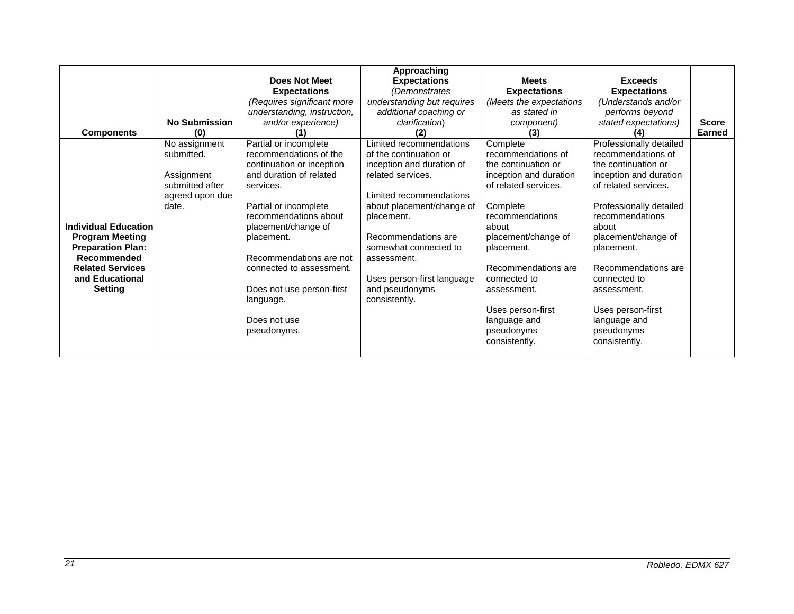| <b>Components</b>                                                                                                                                                | <b>No Submission</b><br>(0)                                                              | Does Not Meet<br><b>Expectations</b><br>(Requires significant more<br>understanding, instruction,<br>and/or experience)                                                                                                                                                                                                                     | Approaching<br><b>Expectations</b><br>(Demonstrates<br>understanding but requires<br>additional coaching or<br>clarification)<br>(2)                                                                                                                                                                      | <b>Meets</b><br><b>Expectations</b><br>(Meets the expectations<br>as stated in<br>component)<br>(3)                                                                                                                                                                                                            | <b>Exceeds</b><br><b>Expectations</b><br>(Understands and/or<br>performs beyond<br>stated expectations)<br>(4)                                                                                                                                                                                                                               | <b>Score</b><br>Earned |
|------------------------------------------------------------------------------------------------------------------------------------------------------------------|------------------------------------------------------------------------------------------|---------------------------------------------------------------------------------------------------------------------------------------------------------------------------------------------------------------------------------------------------------------------------------------------------------------------------------------------|-----------------------------------------------------------------------------------------------------------------------------------------------------------------------------------------------------------------------------------------------------------------------------------------------------------|----------------------------------------------------------------------------------------------------------------------------------------------------------------------------------------------------------------------------------------------------------------------------------------------------------------|----------------------------------------------------------------------------------------------------------------------------------------------------------------------------------------------------------------------------------------------------------------------------------------------------------------------------------------------|------------------------|
| <b>Individual Education</b><br><b>Program Meeting</b><br><b>Preparation Plan:</b><br>Recommended<br><b>Related Services</b><br>and Educational<br><b>Setting</b> | No assignment<br>submitted.<br>Assignment<br>submitted after<br>agreed upon due<br>date. | Partial or incomplete<br>recommendations of the<br>continuation or inception<br>and duration of related<br>services.<br>Partial or incomplete<br>recommendations about<br>placement/change of<br>placement.<br>Recommendations are not<br>connected to assessment.<br>Does not use person-first<br>language.<br>Does not use<br>pseudonyms. | Limited recommendations<br>of the continuation or<br>inception and duration of<br>related services.<br>Limited recommendations<br>about placement/change of<br>placement.<br>Recommendations are<br>somewhat connected to<br>assessment.<br>Uses person-first language<br>and pseudonyms<br>consistently. | Complete<br>recommendations of<br>the continuation or<br>inception and duration<br>of related services.<br>Complete<br>recommendations<br>about<br>placement/change of<br>placement.<br>Recommendations are<br>connected to<br>assessment.<br>Uses person-first<br>language and<br>pseudonyms<br>consistently. | Professionally detailed<br>recommendations of<br>the continuation or<br>inception and duration<br>of related services.<br>Professionally detailed<br>recommendations<br>about<br>placement/change of<br>placement.<br>Recommendations are<br>connected to<br>assessment.<br>Uses person-first<br>language and<br>pseudonyms<br>consistently. |                        |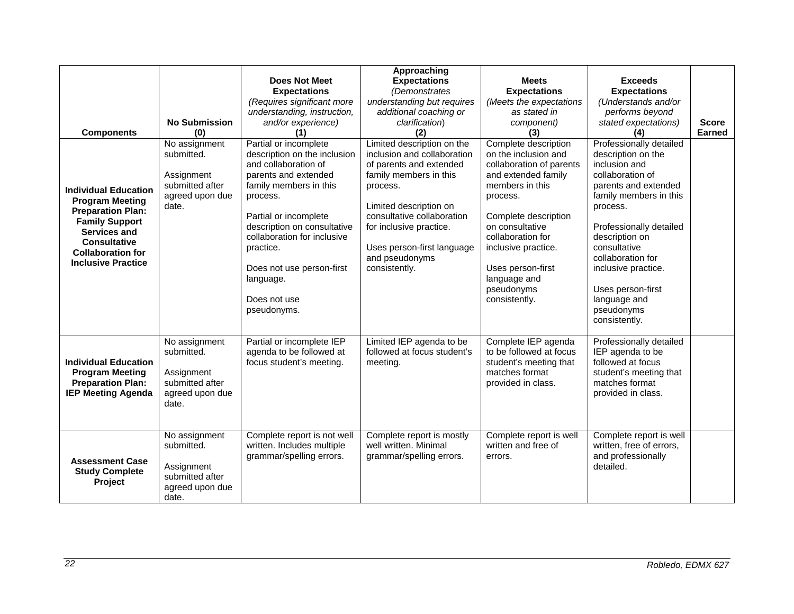| <b>Components</b><br><b>Individual Education</b><br><b>Program Meeting</b><br><b>Preparation Plan:</b><br><b>Family Support</b><br><b>Services and</b><br><b>Consultative</b><br><b>Collaboration for</b><br><b>Inclusive Practice</b> | <b>No Submission</b><br>(0)<br>No assignment<br>submitted.<br>Assignment<br>submitted after<br>agreed upon due<br>date. | Does Not Meet<br><b>Expectations</b><br>(Requires significant more<br>understanding, instruction,<br>and/or experience)<br>(1)<br>Partial or incomplete<br>description on the inclusion<br>and collaboration of<br>parents and extended<br>family members in this<br>process.<br>Partial or incomplete<br>description on consultative<br>collaboration for inclusive<br>practice.<br>Does not use person-first<br>language.<br>Does not use<br>pseudonyms. | Approaching<br><b>Expectations</b><br>(Demonstrates<br>understanding but requires<br>additional coaching or<br>clarification)<br>(2)<br>Limited description on the<br>inclusion and collaboration<br>of parents and extended<br>family members in this<br>process.<br>Limited description on<br>consultative collaboration<br>for inclusive practice.<br>Uses person-first language<br>and pseudonyms<br>consistently. | <b>Meets</b><br><b>Expectations</b><br>(Meets the expectations<br>as stated in<br>component)<br>(3)<br>Complete description<br>on the inclusion and<br>collaboration of parents<br>and extended family<br>members in this<br>process.<br>Complete description<br>on consultative<br>collaboration for<br>inclusive practice.<br>Uses person-first<br>language and<br>pseudonyms<br>consistently. | <b>Exceeds</b><br><b>Expectations</b><br>(Understands and/or<br>performs beyond<br>stated expectations)<br>(4)<br>Professionally detailed<br>description on the<br>inclusion and<br>collaboration of<br>parents and extended<br>family members in this<br>process.<br>Professionally detailed<br>description on<br>consultative<br>collaboration for<br>inclusive practice.<br>Uses person-first<br>language and<br>pseudonyms<br>consistently. | <b>Score</b><br><b>Earned</b> |
|----------------------------------------------------------------------------------------------------------------------------------------------------------------------------------------------------------------------------------------|-------------------------------------------------------------------------------------------------------------------------|------------------------------------------------------------------------------------------------------------------------------------------------------------------------------------------------------------------------------------------------------------------------------------------------------------------------------------------------------------------------------------------------------------------------------------------------------------|------------------------------------------------------------------------------------------------------------------------------------------------------------------------------------------------------------------------------------------------------------------------------------------------------------------------------------------------------------------------------------------------------------------------|--------------------------------------------------------------------------------------------------------------------------------------------------------------------------------------------------------------------------------------------------------------------------------------------------------------------------------------------------------------------------------------------------|-------------------------------------------------------------------------------------------------------------------------------------------------------------------------------------------------------------------------------------------------------------------------------------------------------------------------------------------------------------------------------------------------------------------------------------------------|-------------------------------|
| <b>Individual Education</b><br><b>Program Meeting</b><br><b>Preparation Plan:</b><br><b>IEP Meeting Agenda</b>                                                                                                                         | No assignment<br>submitted.<br>Assignment<br>submitted after<br>agreed upon due<br>date.                                | Partial or incomplete IEP<br>agenda to be followed at<br>focus student's meeting.                                                                                                                                                                                                                                                                                                                                                                          | Limited IEP agenda to be<br>followed at focus student's<br>meeting.                                                                                                                                                                                                                                                                                                                                                    | Complete IEP agenda<br>to be followed at focus<br>student's meeting that<br>matches format<br>provided in class.                                                                                                                                                                                                                                                                                 | Professionally detailed<br>IEP agenda to be<br>followed at focus<br>student's meeting that<br>matches format<br>provided in class.                                                                                                                                                                                                                                                                                                              |                               |
| <b>Assessment Case</b><br><b>Study Complete</b><br>Project                                                                                                                                                                             | No assignment<br>submitted.<br>Assignment<br>submitted after<br>agreed upon due<br>date.                                | Complete report is not well<br>written. Includes multiple<br>grammar/spelling errors.                                                                                                                                                                                                                                                                                                                                                                      | Complete report is mostly<br>well written. Minimal<br>grammar/spelling errors.                                                                                                                                                                                                                                                                                                                                         | Complete report is well<br>written and free of<br>errors.                                                                                                                                                                                                                                                                                                                                        | Complete report is well<br>written, free of errors,<br>and professionally<br>detailed.                                                                                                                                                                                                                                                                                                                                                          |                               |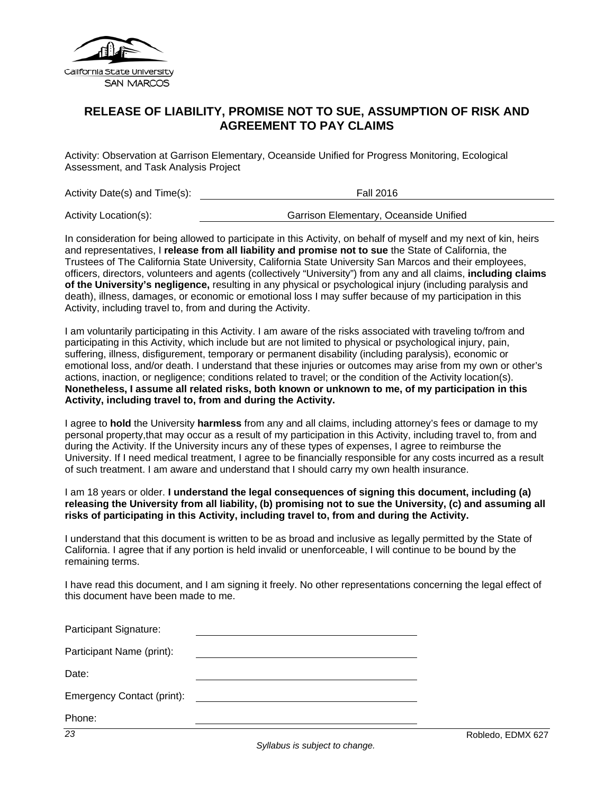

## **RELEASE OF LIABILITY, PROMISE NOT TO SUE, ASSUMPTION OF RISK AND AGREEMENT TO PAY CLAIMS**

Activity: Observation at Garrison Elementary, Oceanside Unified for Progress Monitoring, Ecological Assessment, and Task Analysis Project

| Activity Date(s) and Time(s): | <b>Fall 2016</b>                       |  |
|-------------------------------|----------------------------------------|--|
| Activity Location(s):         | Garrison Elementary, Oceanside Unified |  |

In consideration for being allowed to participate in this Activity, on behalf of myself and my next of kin, heirs and representatives, I **release from all liability and promise not to sue** the State of California, the Trustees of The California State University, California State University San Marcos and their employees, officers, directors, volunteers and agents (collectively "University") from any and all claims, **including claims of the University's negligence,** resulting in any physical or psychological injury (including paralysis and death), illness, damages, or economic or emotional loss I may suffer because of my participation in this Activity, including travel to, from and during the Activity.

I am voluntarily participating in this Activity. I am aware of the risks associated with traveling to/from and participating in this Activity, which include but are not limited to physical or psychological injury, pain, suffering, illness, disfigurement, temporary or permanent disability (including paralysis), economic or emotional loss, and/or death. I understand that these injuries or outcomes may arise from my own or other's actions, inaction, or negligence; conditions related to travel; or the condition of the Activity location(s). **Nonetheless, I assume all related risks, both known or unknown to me, of my participation in this Activity, including travel to, from and during the Activity.** 

I agree to **hold** the University **harmless** from any and all claims, including attorney's fees or damage to my personal property,that may occur as a result of my participation in this Activity, including travel to, from and during the Activity. If the University incurs any of these types of expenses, I agree to reimburse the University. If I need medical treatment, I agree to be financially responsible for any costs incurred as a result of such treatment. I am aware and understand that I should carry my own health insurance.

#### I am 18 years or older. **I understand the legal consequences of signing this document, including (a) releasing the University from all liability, (b) promising not to sue the University, (c) and assuming all risks of participating in this Activity, including travel to, from and during the Activity.**

I understand that this document is written to be as broad and inclusive as legally permitted by the State of California. I agree that if any portion is held invalid or unenforceable, I will continue to be bound by the remaining terms.

I have read this document, and I am signing it freely. No other representations concerning the legal effect of this document have been made to me.

| $\overline{23}$            | Robledo, EDMX 6 |
|----------------------------|-----------------|
| Phone:                     |                 |
| Emergency Contact (print): |                 |
| Date:                      |                 |
| Participant Name (print):  |                 |
| Participant Signature:     |                 |